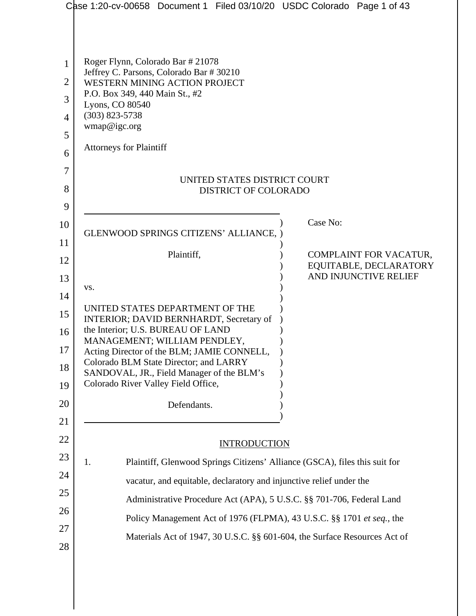|                | Case 1:20-cv-00658 Document 1 Filed 03/10/20 USDC Colorado Page 1 of 43          |                                                 |
|----------------|----------------------------------------------------------------------------------|-------------------------------------------------|
|                |                                                                                  |                                                 |
| 1              | Roger Flynn, Colorado Bar # 21078                                                |                                                 |
| $\overline{2}$ | Jeffrey C. Parsons, Colorado Bar # 30210<br>WESTERN MINING ACTION PROJECT        |                                                 |
| 3              | P.O. Box 349, 440 Main St., #2<br>Lyons, CO 80540                                |                                                 |
| $\overline{4}$ | $(303)$ 823-5738<br>wmap@igc.org                                                 |                                                 |
| 5              |                                                                                  |                                                 |
| 6              | <b>Attorneys for Plaintiff</b>                                                   |                                                 |
| 7              | UNITED STATES DISTRICT COURT                                                     |                                                 |
| 8              | <b>DISTRICT OF COLORADO</b>                                                      |                                                 |
| 9              |                                                                                  |                                                 |
| 10             | GLENWOOD SPRINGS CITIZENS' ALLIANCE, )                                           | Case No:                                        |
| 11             | Plaintiff,                                                                       | COMPLAINT FOR VACATUR,                          |
| 12             |                                                                                  | EQUITABLE, DECLARATORY<br>AND INJUNCTIVE RELIEF |
| 13<br>14       | VS.                                                                              |                                                 |
| 15             | UNITED STATES DEPARTMENT OF THE                                                  |                                                 |
| 16             | INTERIOR; DAVID BERNHARDT, Secretary of<br>the Interior; U.S. BUREAU OF LAND     |                                                 |
| 17             | MANAGEMENT; WILLIAM PENDLEY,<br>Acting Director of the BLM; JAMIE CONNELL,       |                                                 |
| 18             | Colorado BLM State Director; and LARRY                                           |                                                 |
| 19             | SANDOVAL, JR., Field Manager of the BLM's<br>Colorado River Valley Field Office, |                                                 |
| 20             | Defendants.                                                                      |                                                 |
| 21             |                                                                                  |                                                 |
| 22             | <b>INTRODUCTION</b>                                                              |                                                 |
| 23             | 1.<br>Plaintiff, Glenwood Springs Citizens' Alliance (GSCA), files this suit for |                                                 |
| 24             | vacatur, and equitable, declaratory and injunctive relief under the              |                                                 |
| 25             | Administrative Procedure Act (APA), 5 U.S.C. §§ 701-706, Federal Land            |                                                 |
| 26             | Policy Management Act of 1976 (FLPMA), 43 U.S.C. §§ 1701 et seq., the            |                                                 |
| 27             | Materials Act of 1947, 30 U.S.C. §§ 601-604, the Surface Resources Act of        |                                                 |
| 28             |                                                                                  |                                                 |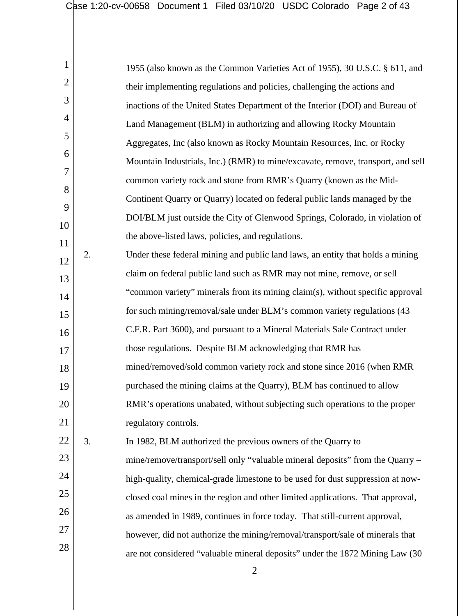| 1              |    | 1955 (also known as the Common Varieties Act of 1955), 30 U.S.C. § 611, and     |
|----------------|----|---------------------------------------------------------------------------------|
| $\overline{2}$ |    | their implementing regulations and policies, challenging the actions and        |
| 3              |    | inactions of the United States Department of the Interior (DOI) and Bureau of   |
| 4              |    | Land Management (BLM) in authorizing and allowing Rocky Mountain                |
| 5              |    | Aggregates, Inc (also known as Rocky Mountain Resources, Inc. or Rocky          |
| 6              |    | Mountain Industrials, Inc.) (RMR) to mine/excavate, remove, transport, and sell |
| 7              |    | common variety rock and stone from RMR's Quarry (known as the Mid-              |
| 8              |    | Continent Quarry or Quarry) located on federal public lands managed by the      |
| 9              |    | DOI/BLM just outside the City of Glenwood Springs, Colorado, in violation of    |
| 10<br>11       |    | the above-listed laws, policies, and regulations.                               |
| 12             | 2. | Under these federal mining and public land laws, an entity that holds a mining  |
| 13             |    | claim on federal public land such as RMR may not mine, remove, or sell          |
| 14             |    | "common variety" minerals from its mining claim(s), without specific approval   |
| 15             |    | for such mining/removal/sale under BLM's common variety regulations (43)        |
| 16             |    | C.F.R. Part 3600), and pursuant to a Mineral Materials Sale Contract under      |
| 17             |    | those regulations. Despite BLM acknowledging that RMR has                       |
| 18             |    | mined/removed/sold common variety rock and stone since 2016 (when RMR           |
| 19             |    | purchased the mining claims at the Quarry), BLM has continued to allow          |
| 20             |    | RMR's operations unabated, without subjecting such operations to the proper     |
| 21             |    | regulatory controls.                                                            |
| 22             | 3. | In 1982, BLM authorized the previous owners of the Quarry to                    |
| 23             |    | mine/remove/transport/sell only "valuable mineral deposits" from the Quarry –   |
| 24             |    | high-quality, chemical-grade limestone to be used for dust suppression at now-  |
| 25             |    | closed coal mines in the region and other limited applications. That approval,  |
| 26             |    | as amended in 1989, continues in force today. That still-current approval,      |
| 27             |    | however, did not authorize the mining/removal/transport/sale of minerals that   |
| 28             |    | are not considered "valuable mineral deposits" under the 1872 Mining Law (30    |
|                |    |                                                                                 |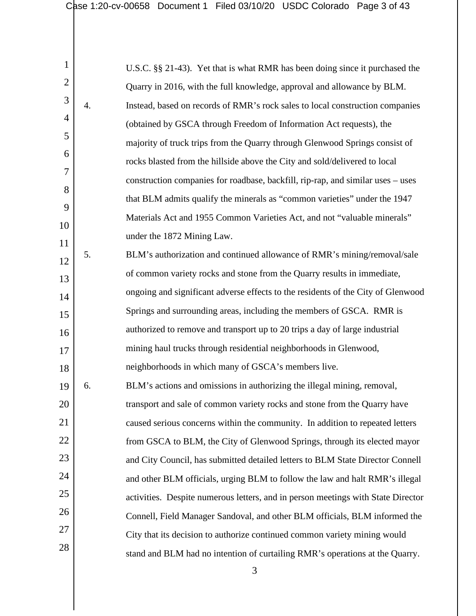1 2 3 4 5 6 7 8 9 10 11 12 13 14 15 16 17 18 19 20 21 22 23 24 25 26 27 28 U.S.C. §§ 21-43). Yet that is what RMR has been doing since it purchased the Quarry in 2016, with the full knowledge, approval and allowance by BLM. 4. Instead, based on records of RMR's rock sales to local construction companies (obtained by GSCA through Freedom of Information Act requests), the majority of truck trips from the Quarry through Glenwood Springs consist of rocks blasted from the hillside above the City and sold/delivered to local construction companies for roadbase, backfill, rip-rap, and similar uses – uses that BLM admits qualify the minerals as "common varieties" under the 1947 Materials Act and 1955 Common Varieties Act, and not "valuable minerals" under the 1872 Mining Law. 5. BLM's authorization and continued allowance of RMR's mining/removal/sale of common variety rocks and stone from the Quarry results in immediate, ongoing and significant adverse effects to the residents of the City of Glenwood Springs and surrounding areas, including the members of GSCA. RMR is authorized to remove and transport up to 20 trips a day of large industrial mining haul trucks through residential neighborhoods in Glenwood, neighborhoods in which many of GSCA's members live. 6. BLM's actions and omissions in authorizing the illegal mining, removal, transport and sale of common variety rocks and stone from the Quarry have caused serious concerns within the community. In addition to repeated letters from GSCA to BLM, the City of Glenwood Springs, through its elected mayor and City Council, has submitted detailed letters to BLM State Director Connell and other BLM officials, urging BLM to follow the law and halt RMR's illegal activities. Despite numerous letters, and in person meetings with State Director Connell, Field Manager Sandoval, and other BLM officials, BLM informed the City that its decision to authorize continued common variety mining would stand and BLM had no intention of curtailing RMR's operations at the Quarry.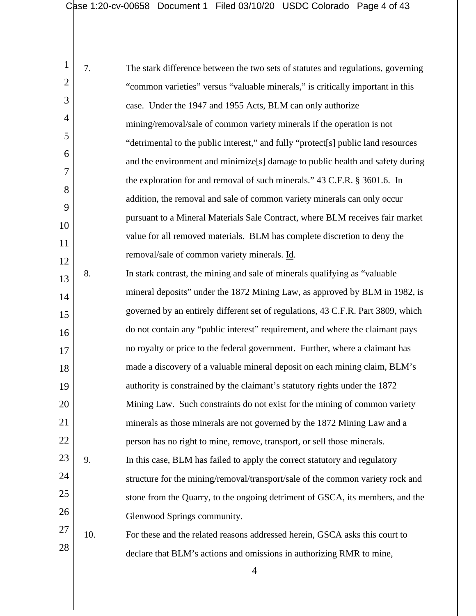| $\mathbf{1}$   | 7.  | The stark difference between the two sets of statutes and regulations, governing          |
|----------------|-----|-------------------------------------------------------------------------------------------|
| $\overline{2}$ |     | "common varieties" versus "valuable minerals," is critically important in this            |
| 3              |     | case. Under the 1947 and 1955 Acts, BLM can only authorize                                |
| 4              |     | mining/removal/sale of common variety minerals if the operation is not                    |
| 5              |     | "detrimental to the public interest," and fully "protect[s] public land resources         |
| 6              |     | and the environment and minimize <sup>[s]</sup> damage to public health and safety during |
| $\overline{7}$ |     | the exploration for and removal of such minerals." 43 C.F.R. § 3601.6. In                 |
| 8              |     | addition, the removal and sale of common variety minerals can only occur                  |
| 9              |     | pursuant to a Mineral Materials Sale Contract, where BLM receives fair market             |
| 10             |     | value for all removed materials. BLM has complete discretion to deny the                  |
| 11             |     | removal/sale of common variety minerals. Id.                                              |
| 12             | 8.  | In stark contrast, the mining and sale of minerals qualifying as "valuable"               |
| 13             |     | mineral deposits" under the 1872 Mining Law, as approved by BLM in 1982, is               |
| 14             |     | governed by an entirely different set of regulations, 43 C.F.R. Part 3809, which          |
| 15             |     | do not contain any "public interest" requirement, and where the claimant pays             |
| 16             |     | no royalty or price to the federal government. Further, where a claimant has              |
| 17             |     |                                                                                           |
| 18             |     | made a discovery of a valuable mineral deposit on each mining claim, BLM's                |
| 19             |     | authority is constrained by the claimant's statutory rights under the 1872                |
| 20             |     | Mining Law. Such constraints do not exist for the mining of common variety                |
| 21             |     | minerals as those minerals are not governed by the 1872 Mining Law and a                  |
| 22             |     | person has no right to mine, remove, transport, or sell those minerals.                   |
| 23             | 9.  | In this case, BLM has failed to apply the correct statutory and regulatory                |
| 24             |     | structure for the mining/removal/transport/sale of the common variety rock and            |
| 25             |     | stone from the Quarry, to the ongoing detriment of GSCA, its members, and the             |
| 26             |     | Glenwood Springs community.                                                               |
| 27             | 10. | For these and the related reasons addressed herein, GSCA asks this court to               |
| 28             |     | declare that BLM's actions and omissions in authorizing RMR to mine,                      |
|                |     |                                                                                           |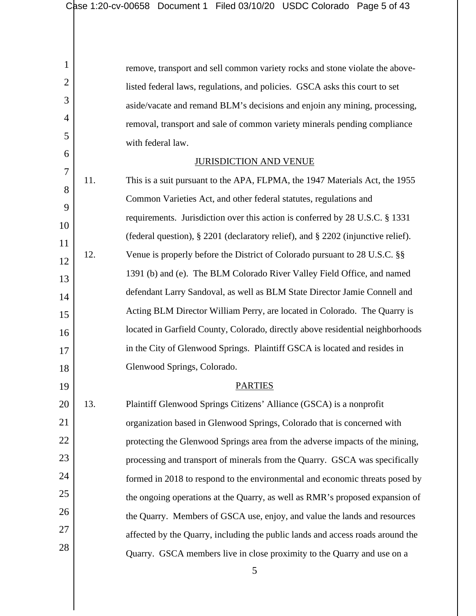1 2 3 4 5 6 7 8 9 10 11 12 13 14 15 16 17 18 19 20 21 22 23 24 25 26 27 28 remove, transport and sell common variety rocks and stone violate the abovelisted federal laws, regulations, and policies. GSCA asks this court to set aside/vacate and remand BLM's decisions and enjoin any mining, processing, removal, transport and sale of common variety minerals pending compliance with federal law. JURISDICTION AND VENUE 11. This is a suit pursuant to the APA, FLPMA, the 1947 Materials Act, the 1955 Common Varieties Act, and other federal statutes, regulations and requirements. Jurisdiction over this action is conferred by 28 U.S.C. § 1331 (federal question), § 2201 (declaratory relief), and § 2202 (injunctive relief). 12. Venue is properly before the District of Colorado pursuant to 28 U.S.C. §§ 1391 (b) and (e). The BLM Colorado River Valley Field Office, and named defendant Larry Sandoval, as well as BLM State Director Jamie Connell and Acting BLM Director William Perry, are located in Colorado. The Quarry is located in Garfield County, Colorado, directly above residential neighborhoods in the City of Glenwood Springs. Plaintiff GSCA is located and resides in Glenwood Springs, Colorado. PARTIES 13. Plaintiff Glenwood Springs Citizens' Alliance (GSCA) is a nonprofit organization based in Glenwood Springs, Colorado that is concerned with protecting the Glenwood Springs area from the adverse impacts of the mining, processing and transport of minerals from the Quarry. GSCA was specifically formed in 2018 to respond to the environmental and economic threats posed by the ongoing operations at the Quarry, as well as RMR's proposed expansion of the Quarry. Members of GSCA use, enjoy, and value the lands and resources affected by the Quarry, including the public lands and access roads around the

Quarry. GSCA members live in close proximity to the Quarry and use on a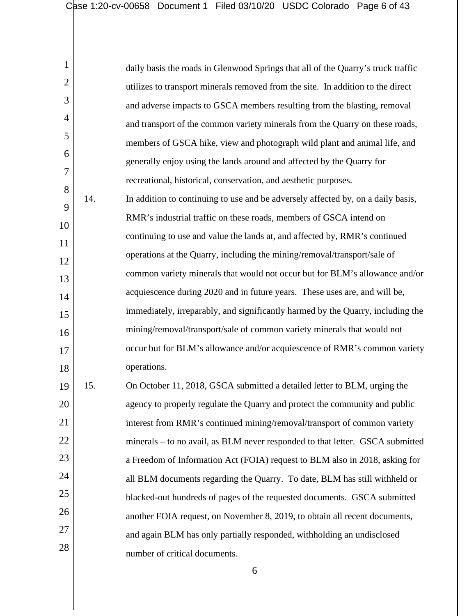| $\mathbf{1}$   |     | daily basis the roads in Glenwood Springs that all of the Quarry's truck traffic |
|----------------|-----|----------------------------------------------------------------------------------|
| $\overline{2}$ |     | utilizes to transport minerals removed from the site. In addition to the direct  |
| 3              |     | and adverse impacts to GSCA members resulting from the blasting, removal         |
| 4              |     | and transport of the common variety minerals from the Quarry on these roads,     |
| 5              |     | members of GSCA hike, view and photograph wild plant and animal life, and        |
| 6              |     | generally enjoy using the lands around and affected by the Quarry for            |
| 7              |     | recreational, historical, conservation, and aesthetic purposes.                  |
| 8              | 14. | In addition to continuing to use and be adversely affected by, on a daily basis, |
| 9              |     | RMR's industrial traffic on these roads, members of GSCA intend on               |
| 10             |     | continuing to use and value the lands at, and affected by, RMR's continued       |
| 11             |     | operations at the Quarry, including the mining/removal/transport/sale of         |
| 12             |     | common variety minerals that would not occur but for BLM's allowance and/or      |
| 13             |     | acquiescence during 2020 and in future years. These uses are, and will be,       |
| 14             |     | immediately, irreparably, and significantly harmed by the Quarry, including the  |
| 15             |     | mining/removal/transport/sale of common variety minerals that would not          |
| 16             |     | occur but for BLM's allowance and/or acquiescence of RMR's common variety        |
| 17             |     |                                                                                  |
| 18             |     | operations.                                                                      |
| 19             | 15. | On October 11, 2018, GSCA submitted a detailed letter to BLM, urging the         |
| 20             |     | agency to properly regulate the Quarry and protect the community and public      |
| 21             |     | interest from RMR's continued mining/removal/transport of common variety         |
| 22             |     | minerals – to no avail, as BLM never responded to that letter. GSCA submitted    |
| 23             |     | a Freedom of Information Act (FOIA) request to BLM also in 2018, asking for      |
| 24             |     | all BLM documents regarding the Quarry. To date, BLM has still withheld or       |
| 25             |     | blacked-out hundreds of pages of the requested documents. GSCA submitted         |
| 26             |     | another FOIA request, on November 8, 2019, to obtain all recent documents,       |
| 27             |     | and again BLM has only partially responded, withholding an undisclosed           |
| 28             |     | number of critical documents.                                                    |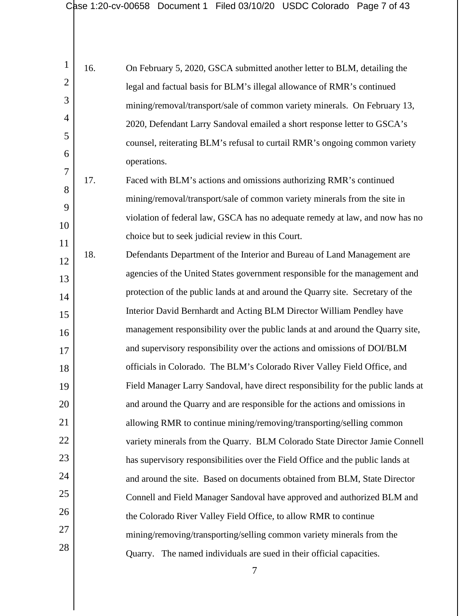|                | 16. | On February 5, 2020, GSCA submitted another letter to BLM, detailing the   |
|----------------|-----|----------------------------------------------------------------------------|
| $\overline{2}$ |     | legal and factual basis for BLM's illegal allowance of RMR's continued     |
| 3              |     | mining/removal/transport/sale of common variety minerals. On February 13,  |
| $\overline{4}$ |     | 2020, Defendant Larry Sandoval emailed a short response letter to GSCA's   |
| $\overline{5}$ |     | counsel, reiterating BLM's refusal to curtail RMR's ongoing common variety |
| 6              |     | operations.                                                                |
| $\tau$         |     |                                                                            |

8 9 10 11 17. Faced with BLM's actions and omissions authorizing RMR's continued mining/removal/transport/sale of common variety minerals from the site in violation of federal law, GSCA has no adequate remedy at law, and now has no choice but to seek judicial review in this Court.

12 13 14 15 16 17 18 19 20 21 22 23 24 25 26 27 28 18. Defendants Department of the Interior and Bureau of Land Management are agencies of the United States government responsible for the management and protection of the public lands at and around the Quarry site. Secretary of the Interior David Bernhardt and Acting BLM Director William Pendley have management responsibility over the public lands at and around the Quarry site, and supervisory responsibility over the actions and omissions of DOI/BLM officials in Colorado. The BLM's Colorado River Valley Field Office, and Field Manager Larry Sandoval, have direct responsibility for the public lands at and around the Quarry and are responsible for the actions and omissions in allowing RMR to continue mining/removing/transporting/selling common variety minerals from the Quarry. BLM Colorado State Director Jamie Connell has supervisory responsibilities over the Field Office and the public lands at and around the site. Based on documents obtained from BLM, State Director Connell and Field Manager Sandoval have approved and authorized BLM and the Colorado River Valley Field Office, to allow RMR to continue mining/removing/transporting/selling common variety minerals from the Quarry. The named individuals are sued in their official capacities.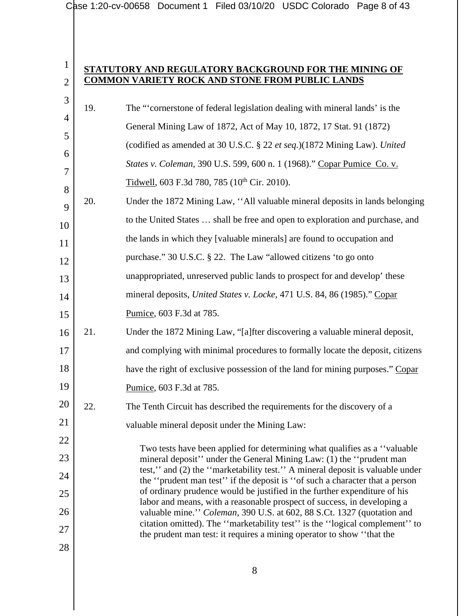|                |     | Case 1:20-cv-00658 Document 1 Filed 03/10/20 USDC Colorado Page 8 of 43                                                                                     |
|----------------|-----|-------------------------------------------------------------------------------------------------------------------------------------------------------------|
|                |     |                                                                                                                                                             |
|                |     |                                                                                                                                                             |
| $\mathbf{1}$   |     | STATUTORY AND REGULATORY BACKGROUND FOR THE MINING OF                                                                                                       |
| $\overline{2}$ |     | <b>COMMON VARIETY ROCK AND STONE FROM PUBLIC LANDS</b>                                                                                                      |
| 3              | 19. | The "cornerstone of federal legislation dealing with mineral lands' is the                                                                                  |
| 4              |     | General Mining Law of 1872, Act of May 10, 1872, 17 Stat. 91 (1872)                                                                                         |
| 5<br>6         |     | (codified as amended at 30 U.S.C. § 22 et seq.)(1872 Mining Law). United                                                                                    |
| 7              |     | States v. Coleman, 390 U.S. 599, 600 n. 1 (1968)." Copar Pumice Co. v.                                                                                      |
| 8              |     | Tidwell, 603 F.3d 780, 785 ( $10^{th}$ Cir. 2010).                                                                                                          |
| 9              | 20. | Under the 1872 Mining Law, "All valuable mineral deposits in lands belonging                                                                                |
| 10             |     | to the United States  shall be free and open to exploration and purchase, and                                                                               |
| 11             |     | the lands in which they [valuable minerals] are found to occupation and                                                                                     |
| 12             |     | purchase." 30 U.S.C. § 22. The Law "allowed citizens 'to go onto                                                                                            |
| 13             |     | unappropriated, unreserved public lands to prospect for and develop' these                                                                                  |
| 14             |     | mineral deposits, United States v. Locke, 471 U.S. 84, 86 (1985)." Copar                                                                                    |
| 15             |     | Pumice, 603 F.3d at 785.                                                                                                                                    |
| 16             | 21. | Under the 1872 Mining Law, "[a]fter discovering a valuable mineral deposit,                                                                                 |
| 17             |     | and complying with minimal procedures to formally locate the deposit, citizens                                                                              |
| 18             |     | have the right of exclusive possession of the land for mining purposes." Copar                                                                              |
| 19             |     | Pumice, 603 F.3d at 785.                                                                                                                                    |
| 20             | 22. | The Tenth Circuit has described the requirements for the discovery of a                                                                                     |
| 21             |     | valuable mineral deposit under the Mining Law:                                                                                                              |
| 22             |     | Two tests have been applied for determining what qualifies as a "valuable"                                                                                  |
| 23             |     | mineral deposit" under the General Mining Law: (1) the "prudent man                                                                                         |
| 24             |     | test," and (2) the "marketability test." A mineral deposit is valuable under<br>the "prudent man test" if the deposit is "of such a character that a person |
| 25             |     | of ordinary prudence would be justified in the further expenditure of his<br>labor and means, with a reasonable prospect of success, in developing a        |
| 26             |     | valuable mine." Coleman, 390 U.S. at 602, 88 S.Ct. 1327 (quotation and                                                                                      |
| 27             |     | citation omitted). The "marketability test" is the "logical complement" to<br>the prudent man test: it requires a mining operator to show "that the         |
| 28             |     |                                                                                                                                                             |
|                |     |                                                                                                                                                             |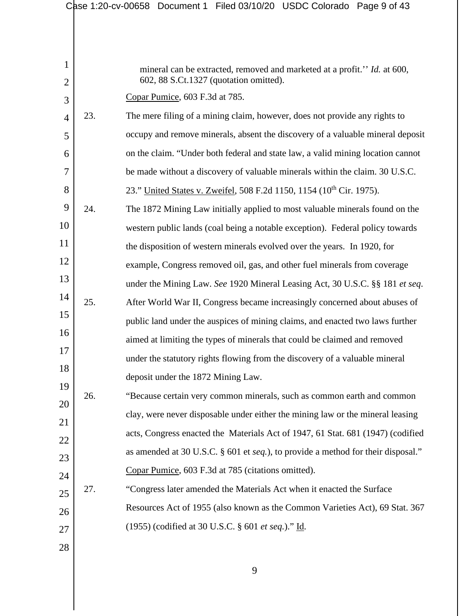|                |     | Case 1:20-cv-00658 Document 1 Filed 03/10/20 USDC Colorado Page 9 of 43          |
|----------------|-----|----------------------------------------------------------------------------------|
|                |     |                                                                                  |
|                |     |                                                                                  |
| 1              |     | mineral can be extracted, removed and marketed at a profit." Id. at 600,         |
| $\overline{2}$ |     | 602, 88 S.Ct.1327 (quotation omitted).                                           |
| 3              |     | Copar Pumice, 603 F.3d at 785.                                                   |
| $\overline{4}$ | 23. | The mere filing of a mining claim, however, does not provide any rights to       |
| 5              |     | occupy and remove minerals, absent the discovery of a valuable mineral deposit   |
| 6              |     | on the claim. "Under both federal and state law, a valid mining location cannot  |
| 7              |     | be made without a discovery of valuable minerals within the claim. 30 U.S.C.     |
| 8              |     | 23." United States v. Zweifel, 508 F.2d 1150, 1154 (10 <sup>th</sup> Cir. 1975). |
| 9              | 24. | The 1872 Mining Law initially applied to most valuable minerals found on the     |
| 10             |     | western public lands (coal being a notable exception). Federal policy towards    |
| 11             |     | the disposition of western minerals evolved over the years. In 1920, for         |
| 12             |     | example, Congress removed oil, gas, and other fuel minerals from coverage        |
| 13             |     | under the Mining Law. See 1920 Mineral Leasing Act, 30 U.S.C. §§ 181 et seq.     |
| 14             | 25. | After World War II, Congress became increasingly concerned about abuses of       |
| 15             |     | public land under the auspices of mining claims, and enacted two laws further    |
| 16             |     | aimed at limiting the types of minerals that could be claimed and removed        |
| 17             |     | under the statutory rights flowing from the discovery of a valuable mineral      |
| 18             |     | deposit under the 1872 Mining Law.                                               |
| 19             | 26. | "Because certain very common minerals, such as common earth and common           |
| 20             |     | clay, were never disposable under either the mining law or the mineral leasing   |
| 21             |     | acts, Congress enacted the Materials Act of 1947, 61 Stat. 681 (1947) (codified  |
| 22             |     | as amended at 30 U.S.C. § 601 et seq.), to provide a method for their disposal." |
| 23             |     | Copar Pumice, 603 F.3d at 785 (citations omitted).                               |
| 24             | 27. | "Congress later amended the Materials Act when it enacted the Surface            |
| $25\,$         |     |                                                                                  |
| 26             |     | Resources Act of 1955 (also known as the Common Varieties Act), 69 Stat. 367     |
| 27             |     | (1955) (codified at 30 U.S.C. § 601 et seq.)." Id.                               |
| 28             |     |                                                                                  |
|                |     | 9                                                                                |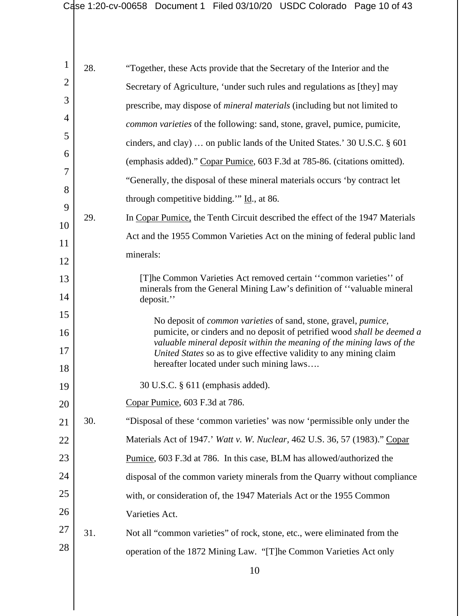| $\mathbf{1}$   | 28. | "Together, these Acts provide that the Secretary of the Interior and the                                                                                 |
|----------------|-----|----------------------------------------------------------------------------------------------------------------------------------------------------------|
| $\overline{2}$ |     | Secretary of Agriculture, 'under such rules and regulations as [they] may                                                                                |
| 3              |     | prescribe, may dispose of <i>mineral materials</i> (including but not limited to                                                                         |
| 4              |     | common varieties of the following: sand, stone, gravel, pumice, pumicite,                                                                                |
| 5              |     | cinders, and clay)  on public lands of the United States.' 30 U.S.C. § 601                                                                               |
| 6              |     | (emphasis added)." Copar Pumice, 603 F.3d at 785-86. (citations omitted).                                                                                |
| 7              |     | "Generally, the disposal of these mineral materials occurs 'by contract let                                                                              |
| 8              |     | through competitive bidding." $\underline{Id}$ ., at 86.                                                                                                 |
| 9              | 29. | In Copar Pumice, the Tenth Circuit described the effect of the 1947 Materials                                                                            |
| 10             |     | Act and the 1955 Common Varieties Act on the mining of federal public land                                                                               |
| 11             |     | minerals:                                                                                                                                                |
| 12             |     |                                                                                                                                                          |
| 13<br>14       |     | [T]he Common Varieties Act removed certain "common varieties" of<br>minerals from the General Mining Law's definition of "valuable mineral<br>deposit."  |
| 15             |     |                                                                                                                                                          |
| 16             |     | No deposit of <i>common varieties</i> of sand, stone, gravel, <i>pumice</i> ,<br>pumicite, or cinders and no deposit of petrified wood shall be deemed a |
| 17             |     | valuable mineral deposit within the meaning of the mining laws of the<br>United States so as to give effective validity to any mining claim              |
| 18             |     | hereafter located under such mining laws                                                                                                                 |
| 19             |     | 30 U.S.C. § 611 (emphasis added).                                                                                                                        |
| 20             |     | Copar Pumice, 603 F.3d at 786.                                                                                                                           |
| 21             | 30. | "Disposal of these 'common varieties' was now 'permissible only under the                                                                                |
| 22             |     | Materials Act of 1947.' Watt v. W. Nuclear, 462 U.S. 36, 57 (1983)." Copar                                                                               |
| 23             |     | Pumice, 603 F.3d at 786. In this case, BLM has allowed/authorized the                                                                                    |
| 24             |     | disposal of the common variety minerals from the Quarry without compliance                                                                               |
| 25             |     | with, or consideration of, the 1947 Materials Act or the 1955 Common                                                                                     |
| 26             |     | Varieties Act.                                                                                                                                           |
| 27             | 31. | Not all "common varieties" of rock, stone, etc., were eliminated from the                                                                                |
| 28             |     | operation of the 1872 Mining Law. "[T]he Common Varieties Act only                                                                                       |
|                |     | 10                                                                                                                                                       |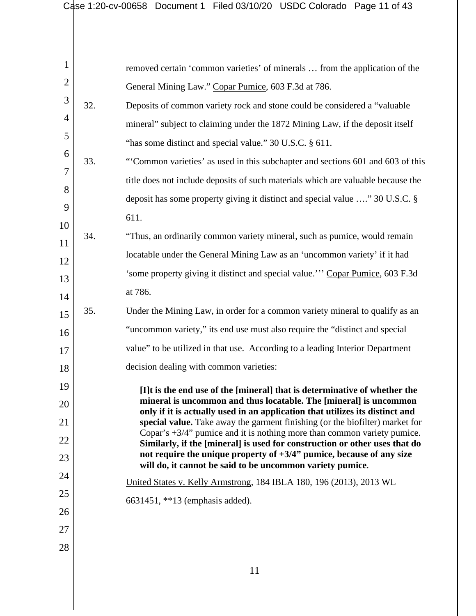|                |     | Case 1:20-cv-00658 Document 1 Filed 03/10/20 USDC Colorado Page 11 of 43                                                                                   |
|----------------|-----|------------------------------------------------------------------------------------------------------------------------------------------------------------|
|                |     |                                                                                                                                                            |
|                |     |                                                                                                                                                            |
| $\mathbf{1}$   |     | removed certain 'common varieties' of minerals  from the application of the                                                                                |
| $\overline{2}$ |     | General Mining Law." Copar Pumice, 603 F.3d at 786.                                                                                                        |
| 3              | 32. | Deposits of common variety rock and stone could be considered a "valuable"                                                                                 |
| 4              |     | mineral" subject to claiming under the 1872 Mining Law, if the deposit itself                                                                              |
| 5              |     | "has some distinct and special value." 30 U.S.C. § 611.                                                                                                    |
| 6              | 33. | "Common varieties' as used in this subchapter and sections 601 and 603 of this                                                                             |
| 7              |     | title does not include deposits of such materials which are valuable because the                                                                           |
| 8              |     | deposit has some property giving it distinct and special value " 30 U.S.C. §                                                                               |
| 9              |     | 611.                                                                                                                                                       |
| 10             | 34. | "Thus, an ordinarily common variety mineral, such as pumice, would remain                                                                                  |
| 11             |     | locatable under the General Mining Law as an 'uncommon variety' if it had                                                                                  |
| 12             |     | 'some property giving it distinct and special value."" Copar Pumice, 603 F.3d                                                                              |
| 13             |     | at 786.                                                                                                                                                    |
| 14             | 35. | Under the Mining Law, in order for a common variety mineral to qualify as an                                                                               |
| 15             |     | "uncommon variety," its end use must also require the "distinct and special"                                                                               |
| 16             |     |                                                                                                                                                            |
| 17             |     | value" to be utilized in that use. According to a leading Interior Department                                                                              |
| 18             |     | decision dealing with common varieties:                                                                                                                    |
| 19             |     | [I]t is the end use of the [mineral] that is determinative of whether the<br>mineral is uncommon and thus locatable. The [mineral] is uncommon             |
| 20             |     | only if it is actually used in an application that utilizes its distinct and                                                                               |
| 21             |     | special value. Take away the garment finishing (or the biofilter) market for<br>Copar's $+3/4$ " pumice and it is nothing more than common variety pumice. |
| 22             |     | Similarly, if the [mineral] is used for construction or other uses that do<br>not require the unique property of $+3/4$ " pumice, because of any size      |
| 23             |     | will do, it cannot be said to be uncommon variety pumice.                                                                                                  |
| 24             |     | United States v. Kelly Armstrong, 184 IBLA 180, 196 (2013), 2013 WL                                                                                        |
| 25             |     | 6631451, **13 (emphasis added).                                                                                                                            |
| 26             |     |                                                                                                                                                            |
| 27             |     |                                                                                                                                                            |
| 28             |     |                                                                                                                                                            |
|                |     | 11                                                                                                                                                         |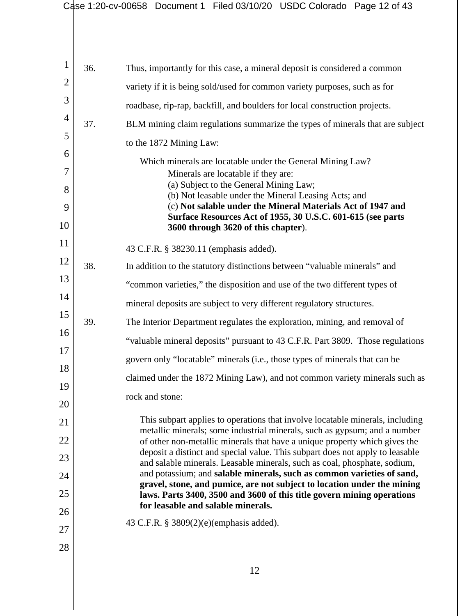|          |     | Case 1:20-cv-00658 Document 1 Filed 03/10/20 USDC Colorado Page 12 of 43                                                                                    |
|----------|-----|-------------------------------------------------------------------------------------------------------------------------------------------------------------|
|          |     |                                                                                                                                                             |
|          |     |                                                                                                                                                             |
| 1        | 36. | Thus, importantly for this case, a mineral deposit is considered a common                                                                                   |
| 2        |     | variety if it is being sold/used for common variety purposes, such as for                                                                                   |
| 3        |     | roadbase, rip-rap, backfill, and boulders for local construction projects.                                                                                  |
| 4        | 37. | BLM mining claim regulations summarize the types of minerals that are subject                                                                               |
| 5        |     | to the 1872 Mining Law:                                                                                                                                     |
| 6        |     | Which minerals are locatable under the General Mining Law?                                                                                                  |
| 7        |     | Minerals are locatable if they are:                                                                                                                         |
| 8        |     | (a) Subject to the General Mining Law;<br>(b) Not leasable under the Mineral Leasing Acts; and                                                              |
| 9        |     | (c) Not salable under the Mineral Materials Act of 1947 and<br>Surface Resources Act of 1955, 30 U.S.C. 601-615 (see parts                                  |
| 10       |     | 3600 through 3620 of this chapter).                                                                                                                         |
| 11       |     | 43 C.F.R. § 38230.11 (emphasis added).                                                                                                                      |
| 12       | 38. | In addition to the statutory distinctions between "valuable minerals" and                                                                                   |
| 13       |     | "common varieties," the disposition and use of the two different types of                                                                                   |
| 14       |     | mineral deposits are subject to very different regulatory structures.                                                                                       |
| 15       | 39. | The Interior Department regulates the exploration, mining, and removal of                                                                                   |
| 16       |     | "valuable mineral deposits" pursuant to 43 C.F.R. Part 3809. Those regulations                                                                              |
| 17       |     | govern only "locatable" minerals (i.e., those types of minerals that can be                                                                                 |
| 18       |     | claimed under the 1872 Mining Law), and not common variety minerals such as                                                                                 |
| 19       |     | rock and stone:                                                                                                                                             |
| 20       |     | This subpart applies to operations that involve locatable minerals, including                                                                               |
| 21       |     | metallic minerals; some industrial minerals, such as gypsum; and a number                                                                                   |
| 22       |     | of other non-metallic minerals that have a unique property which gives the<br>deposit a distinct and special value. This subpart does not apply to leasable |
| 23       |     | and salable minerals. Leasable minerals, such as coal, phosphate, sodium,<br>and potassium; and salable minerals, such as common varieties of sand,         |
| 24       |     | gravel, stone, and pumice, are not subject to location under the mining                                                                                     |
| 25<br>26 |     | laws. Parts 3400, 3500 and 3600 of this title govern mining operations<br>for leasable and salable minerals.                                                |
|          |     | 43 C.F.R. $\S 3809(2)(e)$ (emphasis added).                                                                                                                 |
| 27       |     |                                                                                                                                                             |
| 28       |     |                                                                                                                                                             |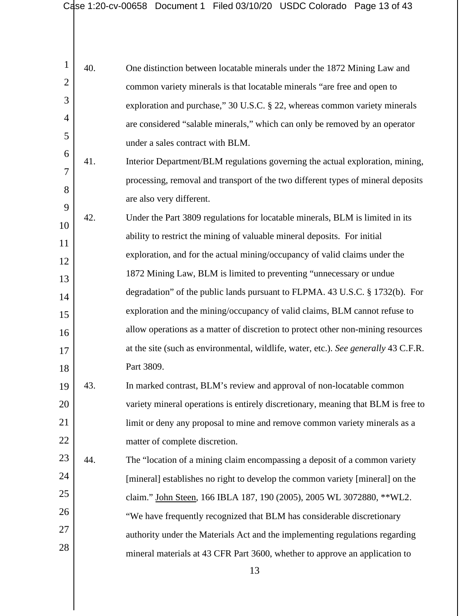|                     |     | Case 1:20-cv-00658 Document 1 Filed 03/10/20 USDC Colorado Page 13 of 43            |
|---------------------|-----|-------------------------------------------------------------------------------------|
|                     |     |                                                                                     |
|                     |     |                                                                                     |
| 1                   | 40. | One distinction between locatable minerals under the 1872 Mining Law and            |
| $\overline{2}$      |     | common variety minerals is that locatable minerals "are free and open to            |
| 3                   |     | exploration and purchase," 30 U.S.C. § 22, whereas common variety minerals          |
| 4                   |     | are considered "salable minerals," which can only be removed by an operator         |
| 5                   |     | under a sales contract with BLM.                                                    |
| 6                   | 41. | Interior Department/BLM regulations governing the actual exploration, mining,       |
| $\overline{7}$<br>8 |     | processing, removal and transport of the two different types of mineral deposits    |
| 9                   |     | are also very different.                                                            |
| 10                  | 42. | Under the Part 3809 regulations for locatable minerals, BLM is limited in its       |
| 11                  |     | ability to restrict the mining of valuable mineral deposits. For initial            |
| 12                  |     | exploration, and for the actual mining/occupancy of valid claims under the          |
| 13                  |     | 1872 Mining Law, BLM is limited to preventing "unnecessary or undue                 |
| 14                  |     | degradation" of the public lands pursuant to FLPMA. 43 U.S.C. § 1732(b). For        |
| 15                  |     | exploration and the mining/occupancy of valid claims, BLM cannot refuse to          |
| 16                  |     | allow operations as a matter of discretion to protect other non-mining resources    |
| 17                  |     | at the site (such as environmental, wildlife, water, etc.). See generally 43 C.F.R. |
| 18                  |     | Part 3809.                                                                          |
| 19                  | 43. | In marked contrast, BLM's review and approval of non-locatable common               |
| 20                  |     | variety mineral operations is entirely discretionary, meaning that BLM is free to   |
| 21                  |     | limit or deny any proposal to mine and remove common variety minerals as a          |
| 22                  |     | matter of complete discretion.                                                      |
| 23                  | 44. | The "location of a mining claim encompassing a deposit of a common variety          |
| 24                  |     | [mineral] establishes no right to develop the common variety [mineral] on the       |
| 25                  |     | claim." John Steen, 166 IBLA 187, 190 (2005), 2005 WL 3072880, ** WL2.              |
| 26                  |     | "We have frequently recognized that BLM has considerable discretionary              |
| 27                  |     | authority under the Materials Act and the implementing regulations regarding        |
| 28                  |     | mineral materials at 43 CFR Part 3600, whether to approve an application to         |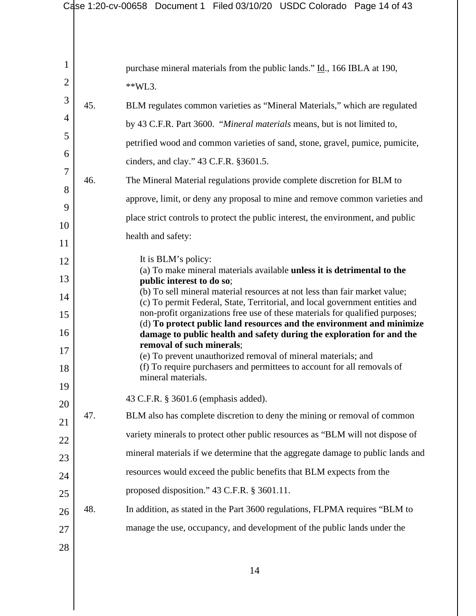|                |     | Case 1:20-cv-00658 Document 1 Filed 03/10/20 USDC Colorado Page 14 of 43                                                                                                                                                                   |
|----------------|-----|--------------------------------------------------------------------------------------------------------------------------------------------------------------------------------------------------------------------------------------------|
|                |     |                                                                                                                                                                                                                                            |
| 1              |     | purchase mineral materials from the public lands." Id., 166 IBLA at 190,                                                                                                                                                                   |
| $\overline{2}$ |     | $*$ KVL3.                                                                                                                                                                                                                                  |
| 3              | 45. | BLM regulates common varieties as "Mineral Materials," which are regulated                                                                                                                                                                 |
| 4              |     | by 43 C.F.R. Part 3600. "Mineral materials means, but is not limited to,                                                                                                                                                                   |
| 5              |     | petrified wood and common varieties of sand, stone, gravel, pumice, pumicite,                                                                                                                                                              |
| 6              |     | cinders, and clay." 43 C.F.R. §3601.5.                                                                                                                                                                                                     |
| $\overline{7}$ | 46. | The Mineral Material regulations provide complete discretion for BLM to                                                                                                                                                                    |
| 8              |     | approve, limit, or deny any proposal to mine and remove common varieties and                                                                                                                                                               |
| 9              |     |                                                                                                                                                                                                                                            |
| 10             |     | place strict controls to protect the public interest, the environment, and public                                                                                                                                                          |
| 11             |     | health and safety:                                                                                                                                                                                                                         |
| 12             |     | It is BLM's policy:<br>(a) To make mineral materials available unless it is detrimental to the                                                                                                                                             |
| 13             |     | public interest to do so;                                                                                                                                                                                                                  |
| 14<br>15       |     | (b) To sell mineral material resources at not less than fair market value;<br>(c) To permit Federal, State, Territorial, and local government entities and<br>non-profit organizations free use of these materials for qualified purposes; |
| 16             |     | (d) To protect public land resources and the environment and minimize<br>damage to public health and safety during the exploration for and the                                                                                             |
| 17             |     | removal of such minerals;<br>(e) To prevent unauthorized removal of mineral materials; and                                                                                                                                                 |
| 18             |     | (f) To require purchasers and permittees to account for all removals of<br>mineral materials.                                                                                                                                              |
| 19             |     | 43 C.F.R. § 3601.6 (emphasis added).                                                                                                                                                                                                       |
| 20             | 47. | BLM also has complete discretion to deny the mining or removal of common                                                                                                                                                                   |
| 21             |     | variety minerals to protect other public resources as "BLM will not dispose of                                                                                                                                                             |
| 22             |     | mineral materials if we determine that the aggregate damage to public lands and                                                                                                                                                            |
| 23             |     |                                                                                                                                                                                                                                            |
| 24             |     | resources would exceed the public benefits that BLM expects from the                                                                                                                                                                       |
| 25             |     | proposed disposition." 43 C.F.R. § 3601.11.                                                                                                                                                                                                |
| 26             | 48. | In addition, as stated in the Part 3600 regulations, FLPMA requires "BLM to                                                                                                                                                                |
| 27             |     | manage the use, occupancy, and development of the public lands under the                                                                                                                                                                   |
| 28             |     |                                                                                                                                                                                                                                            |
|                |     | 14                                                                                                                                                                                                                                         |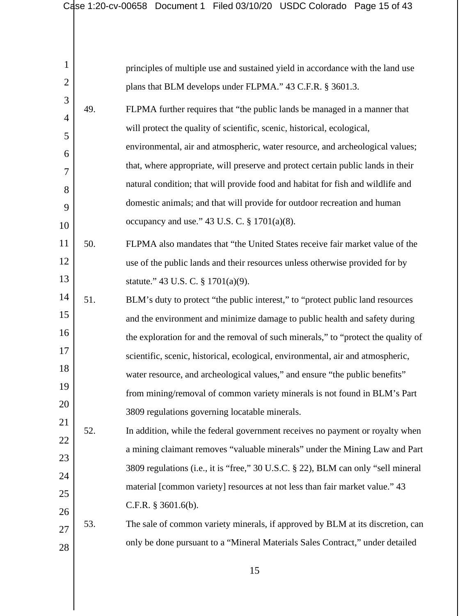|                | Case 1:20-cv-00658 | Document 1 Filed 03/10/20 USDC Colorado Page 15 of 43                             |
|----------------|--------------------|-----------------------------------------------------------------------------------|
|                |                    |                                                                                   |
|                |                    |                                                                                   |
| $\mathbf{1}$   |                    | principles of multiple use and sustained yield in accordance with the land use    |
| $\overline{2}$ |                    | plans that BLM develops under FLPMA." 43 C.F.R. § 3601.3.                         |
| 3              | 49.                | FLPMA further requires that "the public lands be managed in a manner that         |
| $\overline{4}$ |                    | will protect the quality of scientific, scenic, historical, ecological,           |
| 5              |                    | environmental, air and atmospheric, water resource, and archeological values;     |
| 6              |                    | that, where appropriate, will preserve and protect certain public lands in their  |
| 7              |                    | natural condition; that will provide food and habitat for fish and wildlife and   |
| 8<br>9         |                    | domestic animals; and that will provide for outdoor recreation and human          |
| 10             |                    | occupancy and use." 43 U.S. C. $\S 1701(a)(8)$ .                                  |
| 11             | 50.                | FLPMA also mandates that "the United States receive fair market value of the      |
| 12             |                    | use of the public lands and their resources unless otherwise provided for by      |
| 13             |                    | statute." 43 U.S. C. § 1701(a)(9).                                                |
| 14             | 51.                | BLM's duty to protect "the public interest," to "protect public land resources    |
| 15             |                    | and the environment and minimize damage to public health and safety during        |
| 16             |                    | the exploration for and the removal of such minerals," to "protect the quality of |
| 17             |                    | scientific, scenic, historical, ecological, environmental, air and atmospheric,   |
| 18             |                    | water resource, and archeological values," and ensure "the public benefits"       |
| 19             |                    | from mining/removal of common variety minerals is not found in BLM's Part         |
| 20             |                    | 3809 regulations governing locatable minerals.                                    |
| 21             | 52.                | In addition, while the federal government receives no payment or royalty when     |
| 22             |                    | a mining claimant removes "valuable minerals" under the Mining Law and Part       |
| 23             |                    | 3809 regulations (i.e., it is "free," 30 U.S.C. § 22), BLM can only "sell mineral |
| 24<br>25       |                    | material [common variety] resources at not less than fair market value." 43       |
| 26             |                    | C.F.R. $§$ 3601.6(b).                                                             |
| 27             | 53.                | The sale of common variety minerals, if approved by BLM at its discretion, can    |
| 28             |                    | only be done pursuant to a "Mineral Materials Sales Contract," under detailed     |
|                |                    |                                                                                   |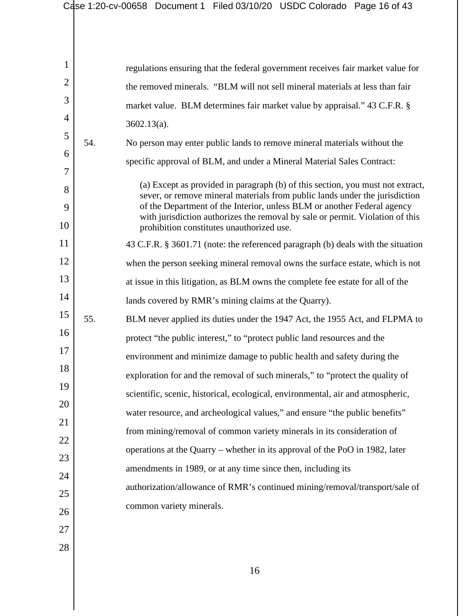|                |     | Case 1:20-cv-00658 Document 1 Filed 03/10/20 USDC Colorado Page 16 of 43                                                                                      |
|----------------|-----|---------------------------------------------------------------------------------------------------------------------------------------------------------------|
|                |     |                                                                                                                                                               |
|                |     |                                                                                                                                                               |
| 1              |     | regulations ensuring that the federal government receives fair market value for                                                                               |
| $\overline{2}$ |     | the removed minerals. "BLM will not sell mineral materials at less than fair                                                                                  |
| 3              |     | market value. BLM determines fair market value by appraisal." 43 C.F.R. §                                                                                     |
| 4              |     | $3602.13(a)$ .                                                                                                                                                |
| 5              | 54. | No person may enter public lands to remove mineral materials without the                                                                                      |
| 6              |     | specific approval of BLM, and under a Mineral Material Sales Contract:                                                                                        |
| 7              |     |                                                                                                                                                               |
| 8              |     | (a) Except as provided in paragraph (b) of this section, you must not extract,<br>sever, or remove mineral materials from public lands under the jurisdiction |
| 9              |     | of the Department of the Interior, unless BLM or another Federal agency                                                                                       |
| 10             |     | with jurisdiction authorizes the removal by sale or permit. Violation of this<br>prohibition constitutes unauthorized use.                                    |
| 11             |     | 43 C.F.R. § 3601.71 (note: the referenced paragraph (b) deals with the situation                                                                              |
| 12             |     | when the person seeking mineral removal owns the surface estate, which is not                                                                                 |
| 13             |     | at issue in this litigation, as BLM owns the complete fee estate for all of the                                                                               |
| 14             |     | lands covered by RMR's mining claims at the Quarry).                                                                                                          |
| 15             | 55. | BLM never applied its duties under the 1947 Act, the 1955 Act, and FLPMA to                                                                                   |
| 16             |     | protect "the public interest," to "protect public land resources and the                                                                                      |
| 17             |     | environment and minimize damage to public health and safety during the                                                                                        |
| 18             |     | exploration for and the removal of such minerals," to "protect the quality of                                                                                 |
| 19             |     | scientific, scenic, historical, ecological, environmental, air and atmospheric,                                                                               |
| 20             |     | water resource, and archeological values," and ensure "the public benefits"                                                                                   |
| 21             |     | from mining/removal of common variety minerals in its consideration of                                                                                        |
| 22             |     | operations at the Quarry – whether in its approval of the PoO in 1982, later                                                                                  |
| 23             |     | amendments in 1989, or at any time since then, including its                                                                                                  |
| 24             |     | authorization/allowance of RMR's continued mining/removal/transport/sale of                                                                                   |
| 25             |     |                                                                                                                                                               |
| 26             |     | common variety minerals.                                                                                                                                      |
| 27             |     |                                                                                                                                                               |
| 28             |     |                                                                                                                                                               |
|                |     | 16                                                                                                                                                            |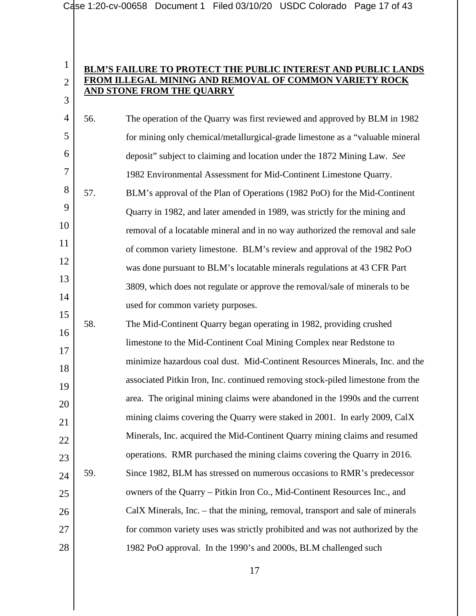2

## 3 **BLM'S FAILURE TO PROTECT THE PUBLIC INTEREST AND PUBLIC LANDS FROM ILLEGAL MINING AND REMOVAL OF COMMON VARIETY ROCK AND STONE FROM THE QUARRY**

| $\overline{4}$ | 56. | The operation of the Quarry was first reviewed and approved by BLM in 1982     |
|----------------|-----|--------------------------------------------------------------------------------|
| 5              |     | for mining only chemical/metallurgical-grade limestone as a "valuable mineral  |
| 6              |     | deposit" subject to claiming and location under the 1872 Mining Law. See       |
| $\overline{7}$ |     | 1982 Environmental Assessment for Mid-Continent Limestone Quarry.              |
| 8              | 57. | BLM's approval of the Plan of Operations (1982 PoO) for the Mid-Continent      |
| 9              |     | Quarry in 1982, and later amended in 1989, was strictly for the mining and     |
| 10             |     | removal of a locatable mineral and in no way authorized the removal and sale   |
| 11             |     | of common variety limestone. BLM's review and approval of the 1982 PoO         |
| 12             |     | was done pursuant to BLM's locatable minerals regulations at 43 CFR Part       |
| 13             |     | 3809, which does not regulate or approve the removal/sale of minerals to be    |
| 14             |     | used for common variety purposes.                                              |
| 15             | 58. | The Mid-Continent Quarry began operating in 1982, providing crushed            |
| 16             |     | limestone to the Mid-Continent Coal Mining Complex near Redstone to            |
| 17<br>18       |     | minimize hazardous coal dust. Mid-Continent Resources Minerals, Inc. and the   |
| 19             |     | associated Pitkin Iron, Inc. continued removing stock-piled limestone from the |
| 20             |     | area. The original mining claims were abandoned in the 1990s and the current   |
| 21             |     | mining claims covering the Quarry were staked in 2001. In early 2009, CalX     |
| 22             |     | Minerals, Inc. acquired the Mid-Continent Quarry mining claims and resumed     |
| 23             |     | operations. RMR purchased the mining claims covering the Quarry in 2016.       |
| 24             | 59. | Since 1982, BLM has stressed on numerous occasions to RMR's predecessor        |
| 25             |     | owners of the Quarry – Pitkin Iron Co., Mid-Continent Resources Inc., and      |
| 26             |     | CalX Minerals, Inc. – that the mining, removal, transport and sale of minerals |
| 27             |     | for common variety uses was strictly prohibited and was not authorized by the  |
| 28             |     | 1982 PoO approval. In the 1990's and 2000s, BLM challenged such                |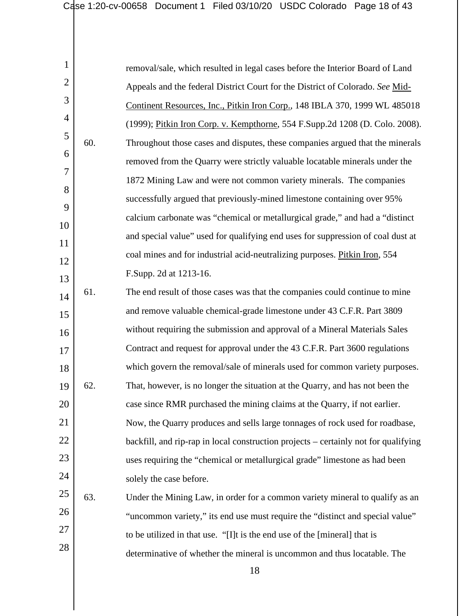| $\mathbf{1}$   |     | removal/sale, which resulted in legal cases before the Interior Board of Land       |
|----------------|-----|-------------------------------------------------------------------------------------|
| $\overline{2}$ |     | Appeals and the federal District Court for the District of Colorado. See Mid-       |
| 3              |     | Continent Resources, Inc., Pitkin Iron Corp., 148 IBLA 370, 1999 WL 485018          |
| $\overline{4}$ |     | (1999); Pitkin Iron Corp. v. Kempthorne, 554 F.Supp.2d 1208 (D. Colo. 2008).        |
| 5              | 60. | Throughout those cases and disputes, these companies argued that the minerals       |
| 6              |     | removed from the Quarry were strictly valuable locatable minerals under the         |
| $\overline{7}$ |     | 1872 Mining Law and were not common variety minerals. The companies                 |
| 8              |     | successfully argued that previously-mined limestone containing over 95%             |
| 9              |     | calcium carbonate was "chemical or metallurgical grade," and had a "distinct"       |
| 10             |     | and special value" used for qualifying end uses for suppression of coal dust at     |
| 11             |     | coal mines and for industrial acid-neutralizing purposes. Pitkin Iron, 554          |
| 12             |     | F.Supp. 2d at 1213-16.                                                              |
| 13             | 61. | The end result of those cases was that the companies could continue to mine         |
| 14             |     | and remove valuable chemical-grade limestone under 43 C.F.R. Part 3809              |
| 15<br>16       |     | without requiring the submission and approval of a Mineral Materials Sales          |
| 17             |     | Contract and request for approval under the 43 C.F.R. Part 3600 regulations         |
| 18             |     | which govern the removal/sale of minerals used for common variety purposes.         |
| 19             | 62. | That, however, is no longer the situation at the Quarry, and has not been the       |
| 20             |     | case since RMR purchased the mining claims at the Quarry, if not earlier.           |
| 21             |     | Now, the Quarry produces and sells large tonnages of rock used for roadbase,        |
| 22             |     | backfill, and rip-rap in local construction projects – certainly not for qualifying |
| 23             |     | uses requiring the "chemical or metallurgical grade" limestone as had been          |
| 24             |     | solely the case before.                                                             |
| 25             | 63. | Under the Mining Law, in order for a common variety mineral to qualify as an        |
| 26             |     | "uncommon variety," its end use must require the "distinct and special value"       |
| 27             |     | to be utilized in that use. "[I]t is the end use of the [mineral] that is           |
| 28             |     | determinative of whether the mineral is uncommon and thus locatable. The            |
|                |     |                                                                                     |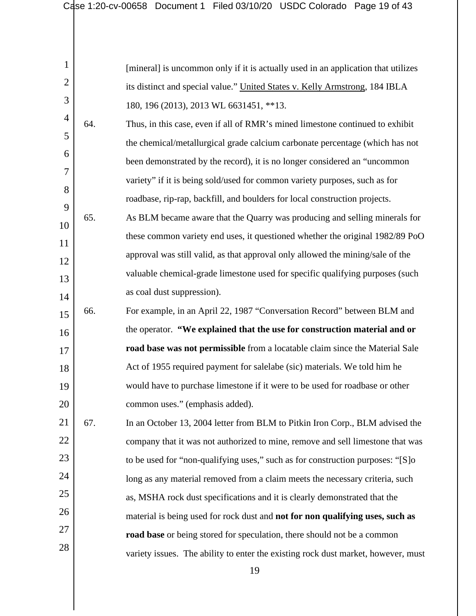|     | [mineral] is uncommon only if it is actually used in an application that utilizes |
|-----|-----------------------------------------------------------------------------------|
|     | its distinct and special value." United States v. Kelly Armstrong, 184 IBLA       |
|     | 180, 196 (2013), 2013 WL 6631451, **13.                                           |
| 64. | Thus, in this case, even if all of RMR's mined limestone continued to exhibit     |
|     | the chemical/metallurgical grade calcium carbonate percentage (which has not      |
|     | been demonstrated by the record), it is no longer considered an "uncommon         |
|     | variety" if it is being sold/used for common variety purposes, such as for        |
|     | roadbase, rip-rap, backfill, and boulders for local construction projects.        |
| 65. | As BLM became aware that the Quarry was producing and selling minerals for        |
|     | these common variety end uses, it questioned whether the original 1982/89 PoO     |
|     | approval was still valid, as that approval only allowed the mining/sale of the    |
|     | valuable chemical-grade limestone used for specific qualifying purposes (such     |
|     | as coal dust suppression).                                                        |
| 66. | For example, in an April 22, 1987 "Conversation Record" between BLM and           |
|     | the operator. "We explained that the use for construction material and or         |
|     | road base was not permissible from a locatable claim since the Material Sale      |
|     | Act of 1955 required payment for salelabe (sic) materials. We told him he         |
|     | would have to purchase limestone if it were to be used for roadbase or other      |
|     | common uses." (emphasis added).                                                   |
| 67. | In an October 13, 2004 letter from BLM to Pitkin Iron Corp., BLM advised the      |
|     | company that it was not authorized to mine, remove and sell limestone that was    |
|     | to be used for "non-qualifying uses," such as for construction purposes: "[S]o    |
|     | long as any material removed from a claim meets the necessary criteria, such      |
|     | as, MSHA rock dust specifications and it is clearly demonstrated that the         |
|     | material is being used for rock dust and not for non qualifying uses, such as     |
|     | road base or being stored for speculation, there should not be a common           |
|     | variety issues. The ability to enter the existing rock dust market, however, must |
|     |                                                                                   |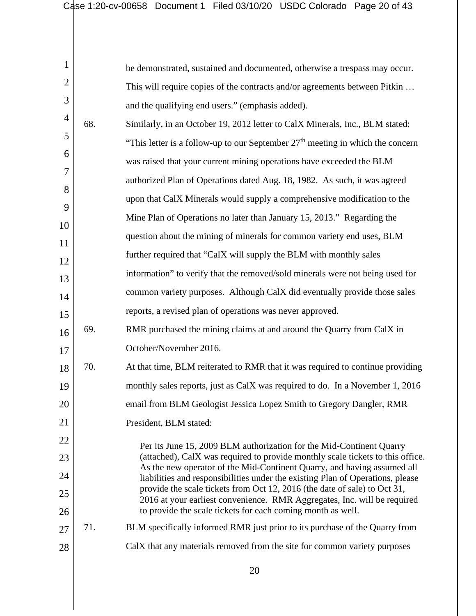| 1              |     | be demonstrated, sustained and documented, otherwise a trespass may occur.                                                                                |
|----------------|-----|-----------------------------------------------------------------------------------------------------------------------------------------------------------|
| $\overline{2}$ |     | This will require copies of the contracts and/or agreements between Pitkin                                                                                |
| 3              |     | and the qualifying end users." (emphasis added).                                                                                                          |
| $\overline{4}$ | 68. | Similarly, in an October 19, 2012 letter to CalX Minerals, Inc., BLM stated:                                                                              |
| 5              |     | "This letter is a follow-up to our September $27th$ meeting in which the concern                                                                          |
| 6              |     | was raised that your current mining operations have exceeded the BLM                                                                                      |
| 7              |     | authorized Plan of Operations dated Aug. 18, 1982. As such, it was agreed                                                                                 |
| 8              |     | upon that CalX Minerals would supply a comprehensive modification to the                                                                                  |
| 9              |     | Mine Plan of Operations no later than January 15, 2013." Regarding the                                                                                    |
| 10             |     | question about the mining of minerals for common variety end uses, BLM                                                                                    |
| 11<br>12       |     | further required that "CalX will supply the BLM with monthly sales                                                                                        |
| 13             |     | information" to verify that the removed/sold minerals were not being used for                                                                             |
| 14             |     | common variety purposes. Although CalX did eventually provide those sales                                                                                 |
| 15             |     | reports, a revised plan of operations was never approved.                                                                                                 |
| 16             | 69. | RMR purchased the mining claims at and around the Quarry from CalX in                                                                                     |
| 17             |     | October/November 2016.                                                                                                                                    |
| 18             | 70. | At that time, BLM reiterated to RMR that it was required to continue providing                                                                            |
| 19             |     | monthly sales reports, just as CalX was required to do. In a November 1, 2016                                                                             |
| 20             |     | email from BLM Geologist Jessica Lopez Smith to Gregory Dangler, RMR                                                                                      |
| 21             |     | President, BLM stated:                                                                                                                                    |
| 22             |     | Per its June 15, 2009 BLM authorization for the Mid-Continent Quarry                                                                                      |
| 23             |     | (attached), CalX was required to provide monthly scale tickets to this office.                                                                            |
| 24             |     | As the new operator of the Mid-Continent Quarry, and having assumed all<br>liabilities and responsibilities under the existing Plan of Operations, please |
| 25             |     | provide the scale tickets from Oct 12, 2016 (the date of sale) to Oct 31,<br>2016 at your earliest convenience. RMR Aggregates, Inc. will be required     |
| 26             |     | to provide the scale tickets for each coming month as well.                                                                                               |
| 27             | 71. | BLM specifically informed RMR just prior to its purchase of the Quarry from                                                                               |
| 28             |     | CalX that any materials removed from the site for common variety purposes                                                                                 |
|                |     |                                                                                                                                                           |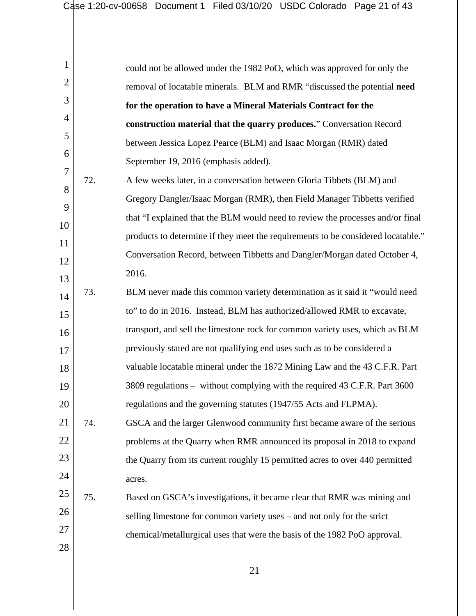| $\mathbf{1}$   |     | could not be allowed under the 1982 PoO, which was approved for only the         |
|----------------|-----|----------------------------------------------------------------------------------|
| $\overline{2}$ |     | removal of locatable minerals. BLM and RMR "discussed the potential need         |
| 3              |     | for the operation to have a Mineral Materials Contract for the                   |
| 4              |     | construction material that the quarry produces." Conversation Record             |
| 5              |     | between Jessica Lopez Pearce (BLM) and Isaac Morgan (RMR) dated                  |
| 6              |     | September 19, 2016 (emphasis added).                                             |
| 7              | 72. | A few weeks later, in a conversation between Gloria Tibbets (BLM) and            |
| 8              |     | Gregory Dangler/Isaac Morgan (RMR), then Field Manager Tibbetts verified         |
| 9              |     | that "I explained that the BLM would need to review the processes and/or final   |
| 10             |     | products to determine if they meet the requirements to be considered locatable." |
| 11<br>12       |     | Conversation Record, between Tibbetts and Dangler/Morgan dated October 4,        |
| 13             |     | 2016.                                                                            |
| 14             | 73. | BLM never made this common variety determination as it said it "would need       |
| 15             |     | to" to do in 2016. Instead, BLM has authorized/allowed RMR to excavate,          |
| 16             |     | transport, and sell the limestone rock for common variety uses, which as BLM     |
| 17             |     | previously stated are not qualifying end uses such as to be considered a         |
| 18             |     | valuable locatable mineral under the 1872 Mining Law and the 43 C.F.R. Part      |
| 19             |     | 3809 regulations – without complying with the required 43 C.F.R. Part 3600       |
| 20             |     | regulations and the governing statutes (1947/55 Acts and FLPMA).                 |
| 21             | 74. | GSCA and the larger Glenwood community first became aware of the serious         |
| 22             |     | problems at the Quarry when RMR announced its proposal in 2018 to expand         |
| 23             |     | the Quarry from its current roughly 15 permitted acres to over 440 permitted     |
| 24             |     | acres.                                                                           |
| 25             | 75. | Based on GSCA's investigations, it became clear that RMR was mining and          |
| 26             |     | selling limestone for common variety uses – and not only for the strict          |
| 27             |     | chemical/metallurgical uses that were the basis of the 1982 PoO approval.        |
| 28             |     |                                                                                  |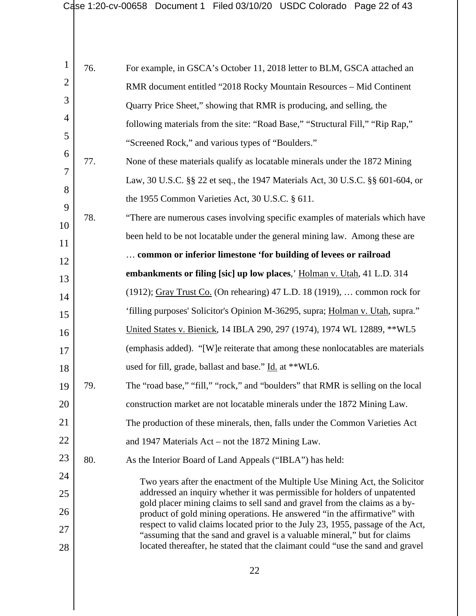| 1              | 76. | For example, in GSCA's October 11, 2018 letter to BLM, GSCA attached an                                                                                      |
|----------------|-----|--------------------------------------------------------------------------------------------------------------------------------------------------------------|
| $\overline{2}$ |     | RMR document entitled "2018 Rocky Mountain Resources - Mid Continent                                                                                         |
| 3              |     | Quarry Price Sheet," showing that RMR is producing, and selling, the                                                                                         |
| 4              |     | following materials from the site: "Road Base," "Structural Fill," "Rip Rap,"                                                                                |
| 5              |     | "Screened Rock," and various types of "Boulders."                                                                                                            |
| 6              | 77. | None of these materials qualify as locatable minerals under the 1872 Mining                                                                                  |
| 7              |     | Law, 30 U.S.C. §§ 22 et seq., the 1947 Materials Act, 30 U.S.C. §§ 601-604, or                                                                               |
| 8              |     | the 1955 Common Varieties Act, 30 U.S.C. § 611.                                                                                                              |
| 9              | 78. | "There are numerous cases involving specific examples of materials which have                                                                                |
| 10             |     | been held to be not locatable under the general mining law. Among these are                                                                                  |
| 11             |     | common or inferior limestone 'for building of levees or railroad                                                                                             |
| 12             |     | embankments or filing [sic] up low places,' Holman v. Utah, 41 L.D. 314                                                                                      |
| 13             |     | (1912); Gray Trust Co. (On rehearing) 47 L.D. 18 (1919),  common rock for                                                                                    |
| 14<br>15       |     | 'filling purposes' Solicitor's Opinion M-36295, supra; Holman v. Utah, supra."                                                                               |
| 16             |     | United States v. Bienick, 14 IBLA 290, 297 (1974), 1974 WL 12889, ** WL5                                                                                     |
| 17             |     | (emphasis added). "[W]e reiterate that among these nonlocatables are materials                                                                               |
| 18             |     | used for fill, grade, ballast and base." Id. at **WL6.                                                                                                       |
| 19             | 79. | The "road base," "fill," "rock," and "boulders" that RMR is selling on the local                                                                             |
| 20             |     | construction market are not locatable minerals under the 1872 Mining Law.                                                                                    |
| 21             |     | The production of these minerals, then, falls under the Common Varieties Act                                                                                 |
| 22             |     | and 1947 Materials Act – not the 1872 Mining Law.                                                                                                            |
| 23             | 80. | As the Interior Board of Land Appeals ("IBLA") has held:                                                                                                     |
| 24             |     | Two years after the enactment of the Multiple Use Mining Act, the Solicitor                                                                                  |
| 25             |     | addressed an inquiry whether it was permissible for holders of unpatented                                                                                    |
| 26             |     | gold placer mining claims to sell sand and gravel from the claims as a by-<br>product of gold mining operations. He answered "in the affirmative" with       |
| 27             |     | respect to valid claims located prior to the July 23, 1955, passage of the Act,<br>"assuming that the sand and gravel is a valuable mineral," but for claims |
| 28             |     | located thereafter, he stated that the claimant could "use the sand and gravel                                                                               |
|                |     |                                                                                                                                                              |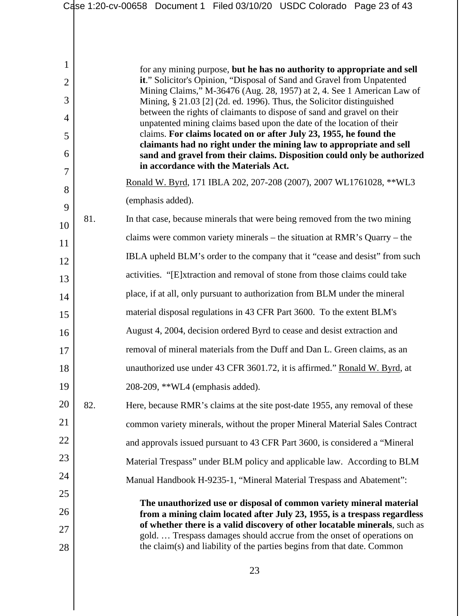|                |     | Case 1:20-cv-00658 Document 1 Filed 03/10/20 USDC Colorado Page 23 of 43                                                                            |
|----------------|-----|-----------------------------------------------------------------------------------------------------------------------------------------------------|
|                |     |                                                                                                                                                     |
| 1              |     | for any mining purpose, but he has no authority to appropriate and sell                                                                             |
| $\overline{2}$ |     | it." Solicitor's Opinion, "Disposal of Sand and Gravel from Unpatented                                                                              |
| 3              |     | Mining Claims," M-36476 (Aug. 28, 1957) at 2, 4. See 1 American Law of<br>Mining, § 21.03 [2] (2d. ed. 1996). Thus, the Solicitor distinguished     |
| 4              |     | between the rights of claimants to dispose of sand and gravel on their<br>unpatented mining claims based upon the date of the location of their     |
| 5              |     | claims. For claims located on or after July 23, 1955, he found the                                                                                  |
| 6              |     | claimants had no right under the mining law to appropriate and sell<br>sand and gravel from their claims. Disposition could only be authorized      |
| $\tau$         |     | in accordance with the Materials Act.                                                                                                               |
| 8              |     | Ronald W. Byrd, 171 IBLA 202, 207-208 (2007), 2007 WL1761028, ** WL3                                                                                |
| 9              |     | (emphasis added).                                                                                                                                   |
| 10             | 81. | In that case, because minerals that were being removed from the two mining                                                                          |
| 11             |     | claims were common variety minerals – the situation at RMR's Quarry – the                                                                           |
| 12             |     | IBLA upheld BLM's order to the company that it "cease and desist" from such                                                                         |
| 13             |     | activities. "[E]xtraction and removal of stone from those claims could take                                                                         |
| 14             |     | place, if at all, only pursuant to authorization from BLM under the mineral                                                                         |
| 15             |     | material disposal regulations in 43 CFR Part 3600. To the extent BLM's                                                                              |
| 16             |     | August 4, 2004, decision ordered Byrd to cease and desist extraction and                                                                            |
| $17\,$         |     | removal of mineral materials from the Duff and Dan L. Green claims, as an                                                                           |
| 18             |     | unauthorized use under 43 CFR 3601.72, it is affirmed." Ronald W. Byrd, at                                                                          |
| 19             |     | 208-209, **WL4 (emphasis added).                                                                                                                    |
| 20             | 82. | Here, because RMR's claims at the site post-date 1955, any removal of these                                                                         |
| 21             |     | common variety minerals, without the proper Mineral Material Sales Contract                                                                         |
| 22             |     | and approvals issued pursuant to 43 CFR Part 3600, is considered a "Mineral"                                                                        |
| 23             |     | Material Trespass" under BLM policy and applicable law. According to BLM                                                                            |
| 24             |     | Manual Handbook H-9235-1, "Mineral Material Trespass and Abatement":                                                                                |
| 25             |     | The unauthorized use or disposal of common variety mineral material                                                                                 |
| 26             |     | from a mining claim located after July 23, 1955, is a trespass regardless                                                                           |
| 27             |     | of whether there is a valid discovery of other locatable minerals, such as<br>gold.  Trespass damages should accrue from the onset of operations on |
| 28             |     | the claim(s) and liability of the parties begins from that date. Common                                                                             |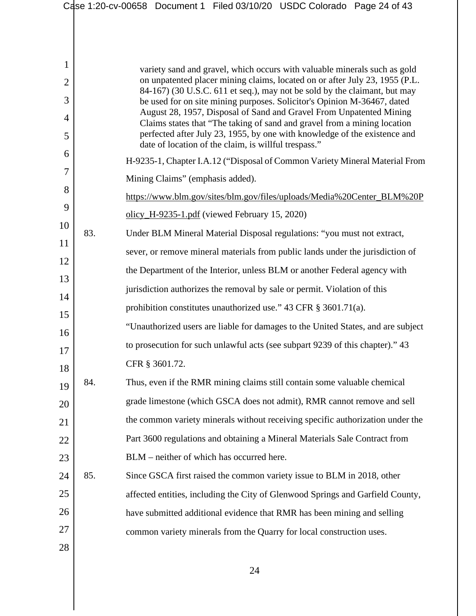|                |     | Case 1:20-cv-00658 Document 1 Filed 03/10/20 USDC Colorado Page 24 of 43                                                                             |
|----------------|-----|------------------------------------------------------------------------------------------------------------------------------------------------------|
|                |     |                                                                                                                                                      |
|                |     |                                                                                                                                                      |
| 1              |     | variety sand and gravel, which occurs with valuable minerals such as gold                                                                            |
| $\overline{2}$ |     | on unpatented placer mining claims, located on or after July 23, 1955 (P.L.                                                                          |
| 3              |     | 84-167) (30 U.S.C. 611 et seq.), may not be sold by the claimant, but may<br>be used for on site mining purposes. Solicitor's Opinion M-36467, dated |
| 4              |     | August 28, 1957, Disposal of Sand and Gravel From Unpatented Mining<br>Claims states that "The taking of sand and gravel from a mining location      |
| 5              |     | perfected after July 23, 1955, by one with knowledge of the existence and<br>date of location of the claim, is willful trespass."                    |
| 6              |     | H-9235-1, Chapter I.A.12 ("Disposal of Common Variety Mineral Material From                                                                          |
| 7              |     | Mining Claims" (emphasis added).                                                                                                                     |
| 8              |     | https://www.blm.gov/sites/blm.gov/files/uploads/Media%20Center_BLM%20P                                                                               |
| 9              |     | olicy_H-9235-1.pdf (viewed February 15, 2020)                                                                                                        |
| 10             | 83. | Under BLM Mineral Material Disposal regulations: "you must not extract,                                                                              |
| 11             |     | sever, or remove mineral materials from public lands under the jurisdiction of                                                                       |
| 12             |     | the Department of the Interior, unless BLM or another Federal agency with                                                                            |
| 13             |     | jurisdiction authorizes the removal by sale or permit. Violation of this                                                                             |
| 14             |     | prohibition constitutes unauthorized use." 43 CFR § 3601.71(a).                                                                                      |
| 15             |     | "Unauthorized users are liable for damages to the United States, and are subject                                                                     |
| 16             |     | to prosecution for such unlawful acts (see subpart 9239 of this chapter)." 43                                                                        |
| 17             |     | CFR § 3601.72.                                                                                                                                       |
| 18             | 84. | Thus, even if the RMR mining claims still contain some valuable chemical                                                                             |
| 19<br>20       |     | grade limestone (which GSCA does not admit), RMR cannot remove and sell                                                                              |
| 21             |     | the common variety minerals without receiving specific authorization under the                                                                       |
| 22             |     | Part 3600 regulations and obtaining a Mineral Materials Sale Contract from                                                                           |
| 23             |     | BLM – neither of which has occurred here.                                                                                                            |
| 24             | 85. | Since GSCA first raised the common variety issue to BLM in 2018, other                                                                               |
| 25             |     | affected entities, including the City of Glenwood Springs and Garfield County,                                                                       |
| 26             |     | have submitted additional evidence that RMR has been mining and selling                                                                              |
| 27             |     | common variety minerals from the Quarry for local construction uses.                                                                                 |
| 28             |     |                                                                                                                                                      |
|                |     |                                                                                                                                                      |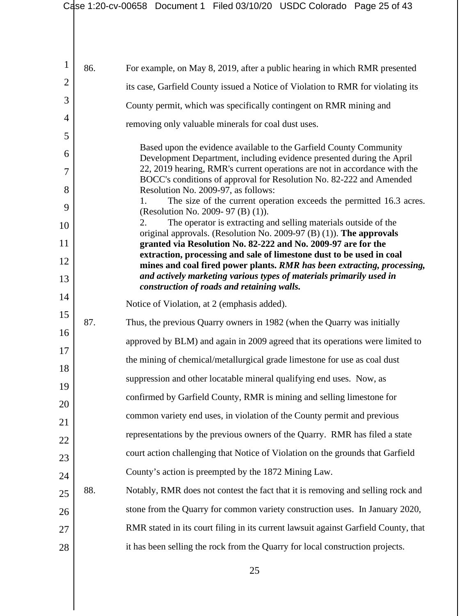| $\mathbf{1}$   | 86. | For example, on May 8, 2019, after a public hearing in which RMR presented                                                                         |
|----------------|-----|----------------------------------------------------------------------------------------------------------------------------------------------------|
| $\overline{2}$ |     | its case, Garfield County issued a Notice of Violation to RMR for violating its                                                                    |
| 3              |     | County permit, which was specifically contingent on RMR mining and                                                                                 |
| $\overline{4}$ |     | removing only valuable minerals for coal dust uses.                                                                                                |
| 5              |     | Based upon the evidence available to the Garfield County Community                                                                                 |
| 6<br>7         |     | Development Department, including evidence presented during the April<br>22, 2019 hearing, RMR's current operations are not in accordance with the |
| 8              |     | BOCC's conditions of approval for Resolution No. 82-222 and Amended<br>Resolution No. 2009-97, as follows:                                         |
| 9              |     | The size of the current operation exceeds the permitted 16.3 acres.<br>1.<br>(Resolution No. 2009- 97 (B) (1)).                                    |
| 10             |     | The operator is extracting and selling materials outside of the<br>2.<br>original approvals. (Resolution No. 2009-97 (B) $(1)$ ). The approvals    |
| 11             |     | granted via Resolution No. 82-222 and No. 2009-97 are for the                                                                                      |
| 12             |     | extraction, processing and sale of limestone dust to be used in coal<br>mines and coal fired power plants. RMR has been extracting, processing,    |
| 13             |     | and actively marketing various types of materials primarily used in<br>construction of roads and retaining walls.                                  |
| 14             |     | Notice of Violation, at 2 (emphasis added).                                                                                                        |
| 15             | 87. | Thus, the previous Quarry owners in 1982 (when the Quarry was initially                                                                            |
| 16             |     | approved by BLM) and again in 2009 agreed that its operations were limited to                                                                      |
| 17             |     | the mining of chemical/metallurgical grade limestone for use as coal dust                                                                          |
| 18             |     | suppression and other locatable mineral qualifying end uses. Now, as                                                                               |
| 19             |     | confirmed by Garfield County, RMR is mining and selling limestone for                                                                              |
| 20             |     | common variety end uses, in violation of the County permit and previous                                                                            |
| 21<br>22       |     | representations by the previous owners of the Quarry. RMR has filed a state                                                                        |
| 23             |     | court action challenging that Notice of Violation on the grounds that Garfield                                                                     |
| 24             |     | County's action is preempted by the 1872 Mining Law.                                                                                               |
| 25             | 88. | Notably, RMR does not contest the fact that it is removing and selling rock and                                                                    |
| 26             |     | stone from the Quarry for common variety construction uses. In January 2020,                                                                       |
| 27             |     | RMR stated in its court filing in its current lawsuit against Garfield County, that                                                                |
| 28             |     | it has been selling the rock from the Quarry for local construction projects.                                                                      |
|                |     |                                                                                                                                                    |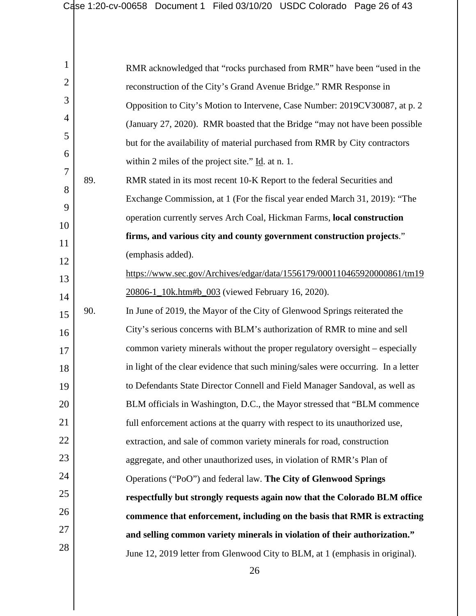| 1              |     | RMR acknowledged that "rocks purchased from RMR" have been "used in the           |
|----------------|-----|-----------------------------------------------------------------------------------|
| $\overline{2}$ |     | reconstruction of the City's Grand Avenue Bridge." RMR Response in                |
| 3              |     | Opposition to City's Motion to Intervene, Case Number: 2019CV30087, at p. 2       |
| 4              |     | (January 27, 2020). RMR boasted that the Bridge "may not have been possible       |
| 5              |     | but for the availability of material purchased from RMR by City contractors       |
| 6              |     | within 2 miles of the project site." $\underline{Id}$ . at n. 1.                  |
| 7              | 89. | RMR stated in its most recent 10-K Report to the federal Securities and           |
| 8              |     | Exchange Commission, at 1 (For the fiscal year ended March 31, 2019): "The        |
| 9              |     | operation currently serves Arch Coal, Hickman Farms, local construction           |
| 10             |     | firms, and various city and county government construction projects."             |
| 11             |     |                                                                                   |
| 12             |     | (emphasis added).                                                                 |
| 13             |     | https://www.sec.gov/Archives/edgar/data/1556179/000110465920000861/tm19           |
| 14             |     | 20806-1_10k.htm#b_003 (viewed February 16, 2020).                                 |
| 15             | 90. | In June of 2019, the Mayor of the City of Glenwood Springs reiterated the         |
| 16             |     | City's serious concerns with BLM's authorization of RMR to mine and sell          |
| 17             |     | common variety minerals without the proper regulatory oversight – especially      |
| 18             |     | in light of the clear evidence that such mining/sales were occurring. In a letter |
| 19             |     | to Defendants State Director Connell and Field Manager Sandoval, as well as       |
| 20             |     | BLM officials in Washington, D.C., the Mayor stressed that "BLM commence"         |
| 21             |     | full enforcement actions at the quarry with respect to its unauthorized use,      |
| 22             |     | extraction, and sale of common variety minerals for road, construction            |
| 23             |     | aggregate, and other unauthorized uses, in violation of RMR's Plan of             |
| 24             |     | Operations ("PoO") and federal law. The City of Glenwood Springs                  |
| 25             |     | respectfully but strongly requests again now that the Colorado BLM office         |
| 26             |     | commence that enforcement, including on the basis that RMR is extracting          |
| 27             |     | and selling common variety minerals in violation of their authorization."         |
| 28             |     | June 12, 2019 letter from Glenwood City to BLM, at 1 (emphasis in original).      |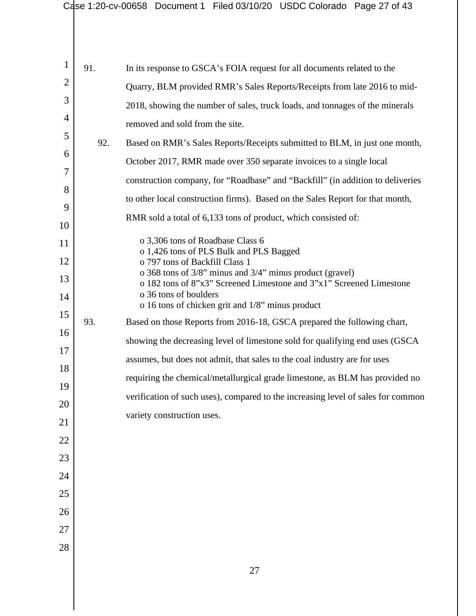|                |     | Case 1:20-cv-00658 Document 1 Filed 03/10/20 USDC Colorado Page 27 of 43                                                                         |
|----------------|-----|--------------------------------------------------------------------------------------------------------------------------------------------------|
|                |     |                                                                                                                                                  |
| $\mathbf{1}$   | 91. | In its response to GSCA's FOIA request for all documents related to the                                                                          |
| $\overline{2}$ |     | Quarry, BLM provided RMR's Sales Reports/Receipts from late 2016 to mid-                                                                         |
| 3              |     | 2018, showing the number of sales, truck loads, and tonnages of the minerals                                                                     |
| 4              |     | removed and sold from the site.                                                                                                                  |
| 5              | 92. | Based on RMR's Sales Reports/Receipts submitted to BLM, in just one month,                                                                       |
| 6              |     | October 2017, RMR made over 350 separate invoices to a single local                                                                              |
| 7              |     | construction company, for "Roadbase" and "Backfill" (in addition to deliveries                                                                   |
| 8              |     | to other local construction firms). Based on the Sales Report for that month,                                                                    |
| 9<br>10        |     | RMR sold a total of 6,133 tons of product, which consisted of:                                                                                   |
| 11             |     | o 3,306 tons of Roadbase Class 6                                                                                                                 |
| 12             |     | o 1,426 tons of PLS Bulk and PLS Bagged<br>o 797 tons of Backfill Class 1                                                                        |
| 13             |     | o 368 tons of 3/8" minus and 3/4" minus product (gravel)                                                                                         |
| 14             |     | o 182 tons of 8"x3" Screened Limestone and 3"x1" Screened Limestone<br>o 36 tons of boulders<br>o 16 tons of chicken grit and 1/8" minus product |
| 15             | 93. | Based on those Reports from 2016-18, GSCA prepared the following chart,                                                                          |
| 16             |     | showing the decreasing level of limestone sold for qualifying end uses (GSCA                                                                     |
| 17             |     | assumes, but does not admit, that sales to the coal industry are for uses                                                                        |
| 18             |     | requiring the chemical/metallurgical grade limestone, as BLM has provided no                                                                     |
| 19             |     | verification of such uses), compared to the increasing level of sales for common                                                                 |
| 20             |     | variety construction uses.                                                                                                                       |
| 21             |     |                                                                                                                                                  |
| 22             |     |                                                                                                                                                  |
| 23             |     |                                                                                                                                                  |
| 24             |     |                                                                                                                                                  |
| 25             |     |                                                                                                                                                  |
| 26<br>27       |     |                                                                                                                                                  |
| 28             |     |                                                                                                                                                  |
|                |     |                                                                                                                                                  |
|                |     | 27                                                                                                                                               |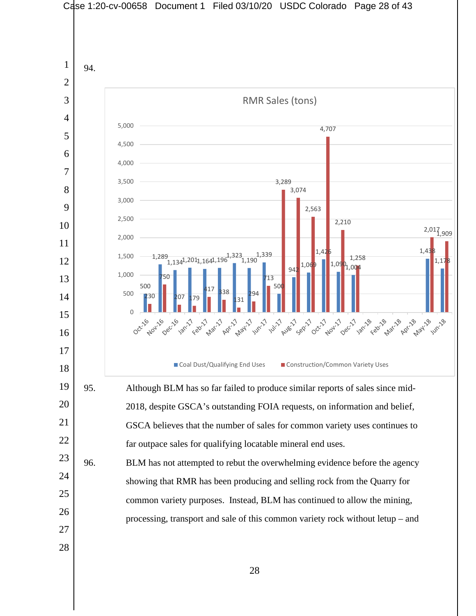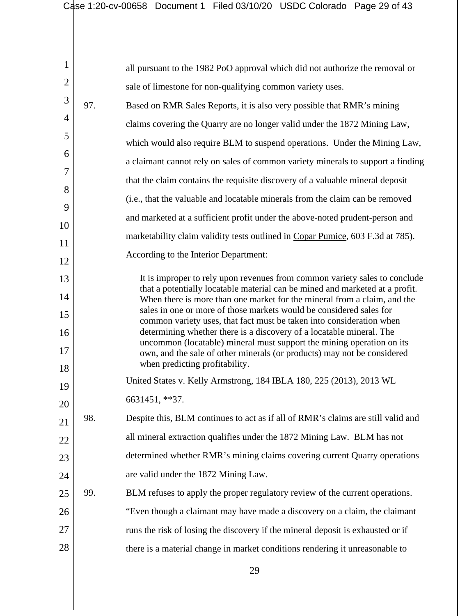|                |     | Case 1:20-cv-00658 Document 1 Filed 03/10/20 USDC Colorado Page 29 of 43                                                                                   |
|----------------|-----|------------------------------------------------------------------------------------------------------------------------------------------------------------|
|                |     |                                                                                                                                                            |
|                |     |                                                                                                                                                            |
| $\mathbf{1}$   |     | all pursuant to the 1982 PoO approval which did not authorize the removal or                                                                               |
| $\overline{2}$ |     | sale of limestone for non-qualifying common variety uses.                                                                                                  |
| 3              | 97. | Based on RMR Sales Reports, it is also very possible that RMR's mining                                                                                     |
| 4              |     | claims covering the Quarry are no longer valid under the 1872 Mining Law,                                                                                  |
| 5              |     | which would also require BLM to suspend operations. Under the Mining Law,                                                                                  |
| 6              |     | a claimant cannot rely on sales of common variety minerals to support a finding                                                                            |
| 7              |     | that the claim contains the requisite discovery of a valuable mineral deposit                                                                              |
| 8              |     | (i.e., that the valuable and locatable minerals from the claim can be removed                                                                              |
| 9              |     | and marketed at a sufficient profit under the above-noted prudent-person and                                                                               |
| 10             |     | marketability claim validity tests outlined in Copar Pumice, 603 F.3d at 785).                                                                             |
| 11             |     | According to the Interior Department:                                                                                                                      |
| 12             |     |                                                                                                                                                            |
| 13             |     | It is improper to rely upon revenues from common variety sales to conclude<br>that a potentially locatable material can be mined and marketed at a profit. |
| 14             |     | When there is more than one market for the mineral from a claim, and the<br>sales in one or more of those markets would be considered sales for            |
| 15             |     | common variety uses, that fact must be taken into consideration when                                                                                       |
| 16             |     | determining whether there is a discovery of a locatable mineral. The<br>uncommon (locatable) mineral must support the mining operation on its              |
| 17             |     | own, and the sale of other minerals (or products) may not be considered<br>when predicting profitability.                                                  |
| 18<br>19       |     | United States v. Kelly Armstrong, 184 IBLA 180, 225 (2013), 2013 WL                                                                                        |
| 20             |     | 6631451, **37.                                                                                                                                             |
| 21             | 98. | Despite this, BLM continues to act as if all of RMR's claims are still valid and                                                                           |
| 22             |     | all mineral extraction qualifies under the 1872 Mining Law. BLM has not                                                                                    |
| 23             |     | determined whether RMR's mining claims covering current Quarry operations                                                                                  |
| 24             |     | are valid under the 1872 Mining Law.                                                                                                                       |
| 25             | 99. | BLM refuses to apply the proper regulatory review of the current operations.                                                                               |
| 26             |     | "Even though a claimant may have made a discovery on a claim, the claimant                                                                                 |
| 27             |     | runs the risk of losing the discovery if the mineral deposit is exhausted or if                                                                            |
| 28             |     | there is a material change in market conditions rendering it unreasonable to                                                                               |
|                |     |                                                                                                                                                            |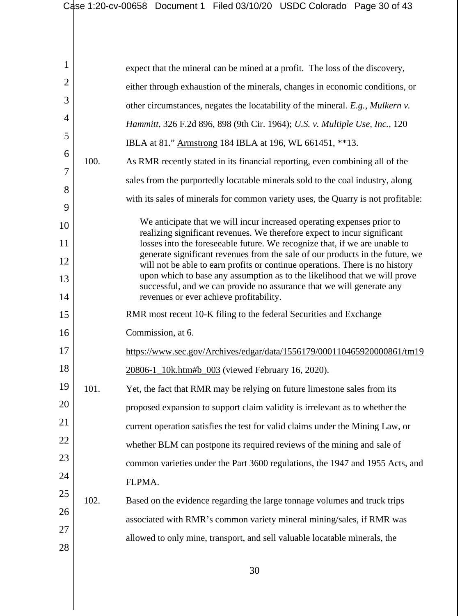| 1              |      | expect that the mineral can be mined at a profit. The loss of the discovery,                                                                              |
|----------------|------|-----------------------------------------------------------------------------------------------------------------------------------------------------------|
| $\overline{2}$ |      | either through exhaustion of the minerals, changes in economic conditions, or                                                                             |
| 3              |      | other circumstances, negates the locatability of the mineral. E.g., Mulkern v.                                                                            |
| $\overline{4}$ |      | Hammitt, 326 F.2d 896, 898 (9th Cir. 1964); U.S. v. Multiple Use, Inc., 120                                                                               |
| 5              |      | IBLA at 81." Armstrong 184 IBLA at 196, WL 661451, **13.                                                                                                  |
| 6              | 100. | As RMR recently stated in its financial reporting, even combining all of the                                                                              |
| 7              |      | sales from the purportedly locatable minerals sold to the coal industry, along                                                                            |
| 8<br>9         |      | with its sales of minerals for common variety uses, the Quarry is not profitable:                                                                         |
| 10             |      | We anticipate that we will incur increased operating expenses prior to                                                                                    |
| 11             |      | realizing significant revenues. We therefore expect to incur significant<br>losses into the foreseeable future. We recognize that, if we are unable to    |
| 12             |      | generate significant revenues from the sale of our products in the future, we                                                                             |
| 13             |      | will not be able to earn profits or continue operations. There is no history<br>upon which to base any assumption as to the likelihood that we will prove |
| 14             |      | successful, and we can provide no assurance that we will generate any<br>revenues or ever achieve profitability.                                          |
| 15             |      | RMR most recent 10-K filing to the federal Securities and Exchange                                                                                        |
| 16             |      | Commission, at 6.                                                                                                                                         |
| 17             |      | https://www.sec.gov/Archives/edgar/data/1556179/000110465920000861/tm19                                                                                   |
| 18             |      | 20806-1_10k.htm#b_003 (viewed February 16, 2020).                                                                                                         |
| 19             | 101. | Yet, the fact that RMR may be relying on future limestone sales from its                                                                                  |
| 20             |      | proposed expansion to support claim validity is irrelevant as to whether the                                                                              |
| 21             |      | current operation satisfies the test for valid claims under the Mining Law, or                                                                            |
| 22             |      | whether BLM can postpone its required reviews of the mining and sale of                                                                                   |
| 23             |      | common varieties under the Part 3600 regulations, the 1947 and 1955 Acts, and                                                                             |
| 24             |      | FLPMA.                                                                                                                                                    |
| 25             | 102. | Based on the evidence regarding the large tonnage volumes and truck trips                                                                                 |
| 26             |      | associated with RMR's common variety mineral mining/sales, if RMR was                                                                                     |
| 27             |      | allowed to only mine, transport, and sell valuable locatable minerals, the                                                                                |
| 28             |      |                                                                                                                                                           |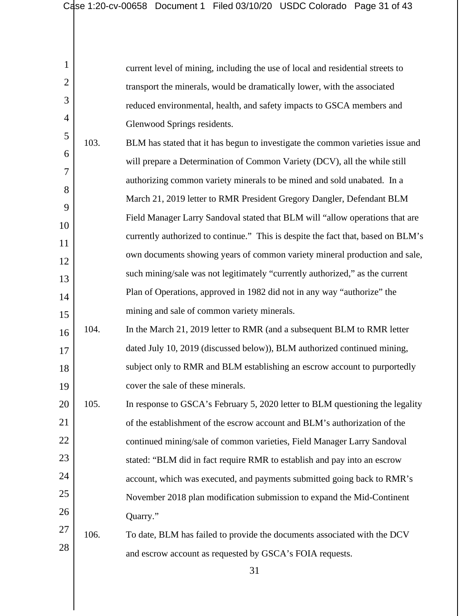2

3

4  $\leq$ 

| current level of mining, including the use of local and residential streets to |
|--------------------------------------------------------------------------------|
| transport the minerals, would be dramatically lower, with the associated       |
| reduced environmental, health, and safety impacts to GSCA members and          |
| Glenwood Springs residents.                                                    |

| ◡              | 103. | BLM has stated that it has begun to investigate the common varieties issue and   |
|----------------|------|----------------------------------------------------------------------------------|
| 6              |      | will prepare a Determination of Common Variety (DCV), all the while still        |
| $\overline{7}$ |      | authorizing common variety minerals to be mined and sold unabated. In a          |
| 8              |      | March 21, 2019 letter to RMR President Gregory Dangler, Defendant BLM            |
| $\mathbf{Q}$   |      | Field Manager Larry Sandoval stated that BLM will "allow operations that are     |
| 10             |      | currently authorized to continue." This is despite the fact that, based on BLM's |
| 11             |      |                                                                                  |
| 12             |      | own documents showing years of common variety mineral production and sale,       |
| 13             |      | such mining/sale was not legitimately "currently authorized," as the current     |
| 14             |      | Plan of Operations, approved in 1982 did not in any way "authorize" the          |
| 15             |      | mining and sale of common variety minerals.                                      |

- 16 17 18 19 104. In the March 21, 2019 letter to RMR (and a subsequent BLM to RMR letter dated July 10, 2019 (discussed below)), BLM authorized continued mining, subject only to RMR and BLM establishing an escrow account to purportedly cover the sale of these minerals.
- 20 21 22 23 24 25 26 105. In response to GSCA's February 5, 2020 letter to BLM questioning the legality of the establishment of the escrow account and BLM's authorization of the continued mining/sale of common varieties, Field Manager Larry Sandoval stated: "BLM did in fact require RMR to establish and pay into an escrow account, which was executed, and payments submitted going back to RMR's November 2018 plan modification submission to expand the Mid-Continent Quarry."

## 27 28 106. To date, BLM has failed to provide the documents associated with the DCV and escrow account as requested by GSCA's FOIA requests.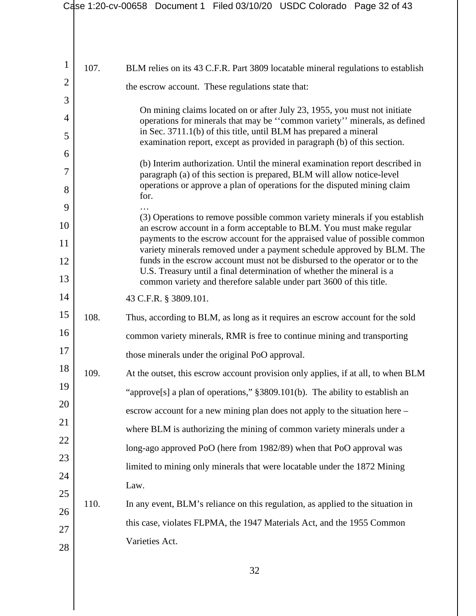|                |      | Case 1:20-cv-00658 Document 1 Filed 03/10/20 USDC Colorado Page 32 of 43                                                                              |
|----------------|------|-------------------------------------------------------------------------------------------------------------------------------------------------------|
|                |      |                                                                                                                                                       |
| $\mathbf{1}$   | 107. | BLM relies on its 43 C.F.R. Part 3809 locatable mineral regulations to establish                                                                      |
| $\overline{2}$ |      | the escrow account. These regulations state that:                                                                                                     |
| 3              |      | On mining claims located on or after July 23, 1955, you must not initiate                                                                             |
| $\overline{4}$ |      | operations for minerals that may be "common variety" minerals, as defined                                                                             |
| 5              |      | in Sec. 3711.1(b) of this title, until BLM has prepared a mineral<br>examination report, except as provided in paragraph (b) of this section.         |
| 6              |      | (b) Interim authorization. Until the mineral examination report described in                                                                          |
| 7              |      | paragraph (a) of this section is prepared, BLM will allow notice-level<br>operations or approve a plan of operations for the disputed mining claim    |
| 8              |      | for.                                                                                                                                                  |
| 9              |      | (3) Operations to remove possible common variety minerals if you establish                                                                            |
| 10             |      | an escrow account in a form acceptable to BLM. You must make regular<br>payments to the escrow account for the appraised value of possible common     |
| 11<br>12       |      | variety minerals removed under a payment schedule approved by BLM. The<br>funds in the escrow account must not be disbursed to the operator or to the |
| 13             |      | U.S. Treasury until a final determination of whether the mineral is a                                                                                 |
| 14             |      | common variety and therefore salable under part 3600 of this title.<br>43 C.F.R. § 3809.101.                                                          |
| 15             | 108. |                                                                                                                                                       |
| 16             |      | Thus, according to BLM, as long as it requires an escrow account for the sold                                                                         |
| 17             |      | common variety minerals, RMR is free to continue mining and transporting                                                                              |
| 18             |      | those minerals under the original PoO approval.                                                                                                       |
| 19             | 109. | At the outset, this escrow account provision only applies, if at all, to when BLM                                                                     |
| 20             |      | "approve[s] a plan of operations," §3809.101(b). The ability to establish an                                                                          |
| 21             |      | escrow account for a new mining plan does not apply to the situation here –                                                                           |
| 22             |      | where BLM is authorizing the mining of common variety minerals under a                                                                                |
| 23             |      | long-ago approved PoO (here from 1982/89) when that PoO approval was                                                                                  |
| 24             |      | limited to mining only minerals that were locatable under the 1872 Mining                                                                             |
| 25             |      | Law.                                                                                                                                                  |
| 26             | 110. | In any event, BLM's reliance on this regulation, as applied to the situation in                                                                       |
| 27             |      | this case, violates FLPMA, the 1947 Materials Act, and the 1955 Common                                                                                |
| 28             |      | Varieties Act.                                                                                                                                        |
|                |      | 32                                                                                                                                                    |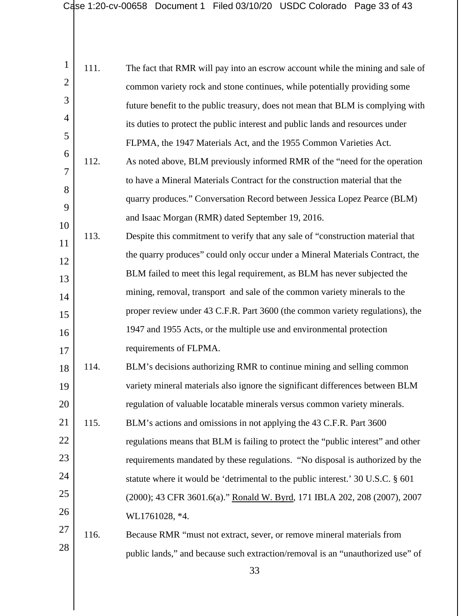| $\mathbf{1}$   | 111. | The fact that RMR will pay into an escrow account while the mining and sale of   |
|----------------|------|----------------------------------------------------------------------------------|
| $\overline{2}$ |      | common variety rock and stone continues, while potentially providing some        |
| 3              |      | future benefit to the public treasury, does not mean that BLM is complying with  |
| 4              |      | its duties to protect the public interest and public lands and resources under   |
| 5              |      | FLPMA, the 1947 Materials Act, and the 1955 Common Varieties Act.                |
| 6              | 112. | As noted above, BLM previously informed RMR of the "need for the operation       |
| $\overline{7}$ |      | to have a Mineral Materials Contract for the construction material that the      |
| 8              |      | quarry produces." Conversation Record between Jessica Lopez Pearce (BLM)         |
| 9              |      | and Isaac Morgan (RMR) dated September 19, 2016.                                 |
| 10             | 113. | Despite this commitment to verify that any sale of "construction material that   |
| 11             |      | the quarry produces" could only occur under a Mineral Materials Contract, the    |
| 12             |      | BLM failed to meet this legal requirement, as BLM has never subjected the        |
| 13             |      | mining, removal, transport and sale of the common variety minerals to the        |
| 14             |      |                                                                                  |
| 15             |      | proper review under 43 C.F.R. Part 3600 (the common variety regulations), the    |
| 16             |      | 1947 and 1955 Acts, or the multiple use and environmental protection             |
| 17             |      | requirements of FLPMA.                                                           |
| 18             | 114. | BLM's decisions authorizing RMR to continue mining and selling common            |
| 19             |      | variety mineral materials also ignore the significant differences between BLM    |
| 20             |      | regulation of valuable locatable minerals versus common variety minerals.        |
| 21             | 115. | BLM's actions and omissions in not applying the 43 C.F.R. Part 3600              |
| 22             |      | regulations means that BLM is failing to protect the "public interest" and other |
| 23             |      | requirements mandated by these regulations. "No disposal is authorized by the    |
| 24             |      | statute where it would be 'detrimental to the public interest.' 30 U.S.C. § 601  |
| 25             |      | (2000); 43 CFR 3601.6(a)." Ronald W. Byrd, 171 IBLA 202, 208 (2007), 2007        |
| 26             |      | WL1761028, *4.                                                                   |
| 27             | 116. | Because RMR "must not extract, sever, or remove mineral materials from           |
| 28             |      | public lands," and because such extraction/removal is an "unauthorized use" of   |
|                |      |                                                                                  |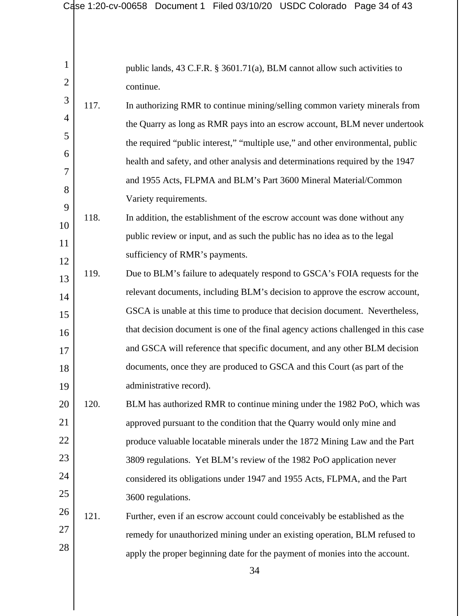|                     |      | Case 1:20-cv-00658 Document 1 Filed 03/10/20 USDC Colorado Page 34 of 43               |
|---------------------|------|----------------------------------------------------------------------------------------|
|                     |      |                                                                                        |
| 1<br>$\overline{2}$ |      | public lands, 43 C.F.R. § 3601.71(a), BLM cannot allow such activities to<br>continue. |
| 3                   | 117. | In authorizing RMR to continue mining/selling common variety minerals from             |
| 4                   |      | the Quarry as long as RMR pays into an escrow account, BLM never undertook             |
| 5                   |      | the required "public interest," "multiple use," and other environmental, public        |
| 6                   |      | health and safety, and other analysis and determinations required by the 1947          |
| 7                   |      | and 1955 Acts, FLPMA and BLM's Part 3600 Mineral Material/Common                       |
| 8                   |      | Variety requirements.                                                                  |
| 9                   | 118. | In addition, the establishment of the escrow account was done without any              |
| 10                  |      | public review or input, and as such the public has no idea as to the legal             |
| 11                  |      |                                                                                        |
| 12                  |      | sufficiency of RMR's payments.                                                         |
| 13                  | 119. | Due to BLM's failure to adequately respond to GSCA's FOIA requests for the             |
| 14                  |      | relevant documents, including BLM's decision to approve the escrow account,            |
| 15                  |      | GSCA is unable at this time to produce that decision document. Nevertheless,           |
| 16                  |      | that decision document is one of the final agency actions challenged in this case      |
| 17                  |      | and GSCA will reference that specific document, and any other BLM decision             |
| 18                  |      | documents, once they are produced to GSCA and this Court (as part of the               |
| 19                  |      | administrative record).                                                                |
| 20                  | 120. | BLM has authorized RMR to continue mining under the 1982 PoO, which was                |
| 21                  |      | approved pursuant to the condition that the Quarry would only mine and                 |
| 22                  |      | produce valuable locatable minerals under the 1872 Mining Law and the Part             |
| 23                  |      | 3809 regulations. Yet BLM's review of the 1982 PoO application never                   |
| 24                  |      | considered its obligations under 1947 and 1955 Acts, FLPMA, and the Part               |
| 25                  |      | 3600 regulations.                                                                      |
| 26                  | 121. | Further, even if an escrow account could conceivably be established as the             |
| 27                  |      | remedy for unauthorized mining under an existing operation, BLM refused to             |
| 28                  |      | apply the proper beginning date for the payment of monies into the account.            |
|                     |      | 34                                                                                     |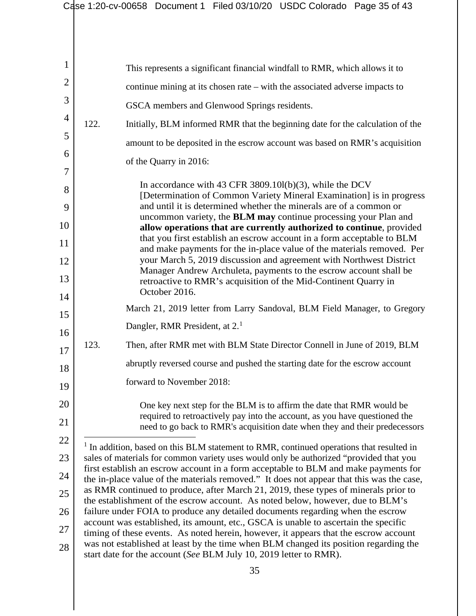<span id="page-34-0"></span>

| 1  |      | This represents a significant financial windfall to RMR, which allows it to                                                                                                   |
|----|------|-------------------------------------------------------------------------------------------------------------------------------------------------------------------------------|
| 2  |      | continue mining at its chosen rate – with the associated adverse impacts to                                                                                                   |
| 3  |      | GSCA members and Glenwood Springs residents.                                                                                                                                  |
| 4  | 122. | Initially, BLM informed RMR that the beginning date for the calculation of the                                                                                                |
| 5  |      | amount to be deposited in the escrow account was based on RMR's acquisition                                                                                                   |
| 6  |      | of the Quarry in 2016:                                                                                                                                                        |
| 7  |      |                                                                                                                                                                               |
| 8  |      | In accordance with 43 CFR 3809.101(b)(3), while the DCV<br>[Determination of Common Variety Mineral Examination] is in progress                                               |
| 9  |      | and until it is determined whether the minerals are of a common or<br>uncommon variety, the BLM may continue processing your Plan and                                         |
| 10 |      | allow operations that are currently authorized to continue, provided                                                                                                          |
| 11 |      | that you first establish an escrow account in a form acceptable to BLM<br>and make payments for the in-place value of the materials removed. Per                              |
| 12 |      | your March 5, 2019 discussion and agreement with Northwest District<br>Manager Andrew Archuleta, payments to the escrow account shall be                                      |
| 13 |      | retroactive to RMR's acquisition of the Mid-Continent Quarry in<br>October 2016.                                                                                              |
| 14 |      | March 21, 2019 letter from Larry Sandoval, BLM Field Manager, to Gregory                                                                                                      |
| 15 |      | Dangler, RMR President, at 2. <sup>1</sup>                                                                                                                                    |
| 16 | 123. | Then, after RMR met with BLM State Director Connell in June of 2019, BLM                                                                                                      |
| 17 |      | abruptly reversed course and pushed the starting date for the escrow account                                                                                                  |
| 18 |      |                                                                                                                                                                               |
| 19 |      | forward to November 2018:                                                                                                                                                     |
| 20 |      | One key next step for the BLM is to affirm the date that RMR would be<br>required to retroactively pay into the account, as you have questioned the                           |
| 21 |      | need to go back to RMR's acquisition date when they and their predecessors                                                                                                    |
| 22 |      | <sup>1</sup> In addition, based on this BLM statement to RMR, continued operations that resulted in                                                                           |
| 23 |      | sales of materials for common variety uses would only be authorized "provided that you<br>first establish an escrow account in a form acceptable to BLM and make payments for |
| 24 |      | the in-place value of the materials removed." It does not appear that this was the case,                                                                                      |
| 25 |      | as RMR continued to produce, after March 21, 2019, these types of minerals prior to<br>the establishment of the escrow account. As noted below, however, due to BLM's         |
| 26 |      | failure under FOIA to produce any detailed documents regarding when the escrow<br>account was established, its amount, etc., GSCA is unable to ascertain the specific         |
| 27 |      | timing of these events. As noted herein, however, it appears that the escrow account<br>was not established at least by the time when BLM changed its position regarding the  |
| 28 |      | start date for the account (See BLM July 10, 2019 letter to RMR).                                                                                                             |
|    |      | 35                                                                                                                                                                            |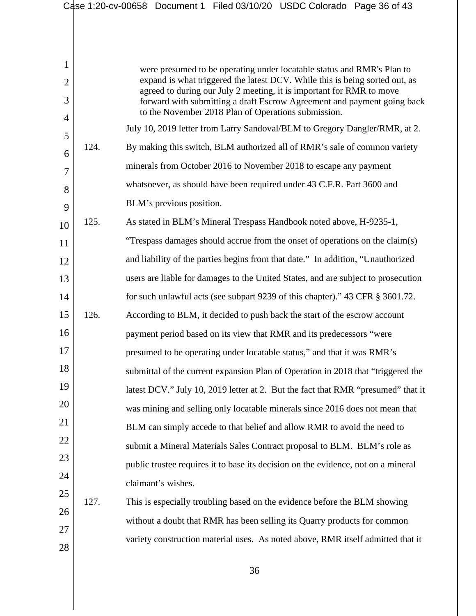|                |      | Case 1:20-cv-00658 Document 1 Filed 03/10/20 USDC Colorado Page 36 of 43                                                                            |
|----------------|------|-----------------------------------------------------------------------------------------------------------------------------------------------------|
|                |      |                                                                                                                                                     |
|                |      |                                                                                                                                                     |
| $\mathbf{1}$   |      | were presumed to be operating under locatable status and RMR's Plan to                                                                              |
| $\overline{2}$ |      | expand is what triggered the latest DCV. While this is being sorted out, as<br>agreed to during our July 2 meeting, it is important for RMR to move |
| 3              |      | forward with submitting a draft Escrow Agreement and payment going back                                                                             |
| 4              |      | to the November 2018 Plan of Operations submission.<br>July 10, 2019 letter from Larry Sandoval/BLM to Gregory Dangler/RMR, at 2.                   |
| 5              | 124. | By making this switch, BLM authorized all of RMR's sale of common variety                                                                           |
| 6              |      | minerals from October 2016 to November 2018 to escape any payment                                                                                   |
| 7              |      | whatsoever, as should have been required under 43 C.F.R. Part 3600 and                                                                              |
| 8              |      |                                                                                                                                                     |
| 9              |      | BLM's previous position.                                                                                                                            |
| 10             | 125. | As stated in BLM's Mineral Trespass Handbook noted above, H-9235-1,                                                                                 |
| 11             |      | "Trespass damages should accrue from the onset of operations on the claim(s)                                                                        |
| 12             |      | and liability of the parties begins from that date." In addition, "Unauthorized                                                                     |
| 13             |      | users are liable for damages to the United States, and are subject to prosecution                                                                   |
| 14             |      | for such unlawful acts (see subpart 9239 of this chapter)." 43 CFR § 3601.72.                                                                       |
| 15             | 126. | According to BLM, it decided to push back the start of the escrow account                                                                           |
| 16             |      | payment period based on its view that RMR and its predecessors "were                                                                                |
| 17             |      | presumed to be operating under locatable status," and that it was RMR's                                                                             |
| 18             |      | submittal of the current expansion Plan of Operation in 2018 that "triggered the                                                                    |
| 19             |      | latest DCV." July 10, 2019 letter at 2. But the fact that RMR "presumed" that it                                                                    |
| 20             |      | was mining and selling only locatable minerals since 2016 does not mean that                                                                        |
| 21             |      | BLM can simply accede to that belief and allow RMR to avoid the need to                                                                             |
| 22             |      | submit a Mineral Materials Sales Contract proposal to BLM. BLM's role as                                                                            |
| 23             |      | public trustee requires it to base its decision on the evidence, not on a mineral                                                                   |
| 24             |      | claimant's wishes.                                                                                                                                  |
| 25             | 127. | This is especially troubling based on the evidence before the BLM showing                                                                           |
| 26             |      | without a doubt that RMR has been selling its Quarry products for common                                                                            |
| 27             |      | variety construction material uses. As noted above, RMR itself admitted that it                                                                     |
| 28             |      |                                                                                                                                                     |
|                |      | 36                                                                                                                                                  |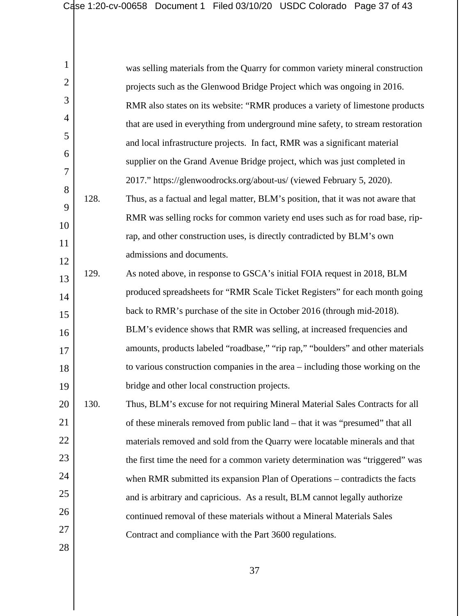| $\mathbf{1}$   |      | was selling materials from the Quarry for common variety mineral construction   |
|----------------|------|---------------------------------------------------------------------------------|
| $\overline{2}$ |      | projects such as the Glenwood Bridge Project which was ongoing in 2016.         |
| 3              |      | RMR also states on its website: "RMR produces a variety of limestone products   |
| $\overline{4}$ |      | that are used in everything from underground mine safety, to stream restoration |
| 5              |      | and local infrastructure projects. In fact, RMR was a significant material      |
| 6              |      | supplier on the Grand Avenue Bridge project, which was just completed in        |
| $\overline{7}$ |      | 2017." https://glenwoodrocks.org/about-us/ (viewed February 5, 2020).           |
| 8              | 128. | Thus, as a factual and legal matter, BLM's position, that it was not aware that |
| 9              |      | RMR was selling rocks for common variety end uses such as for road base, rip-   |
| 10             |      | rap, and other construction uses, is directly contradicted by BLM's own         |
| 11             |      | admissions and documents.                                                       |
| 12             | 129. | As noted above, in response to GSCA's initial FOIA request in 2018, BLM         |
| 13             |      | produced spreadsheets for "RMR Scale Ticket Registers" for each month going     |
| 14<br>15       |      | back to RMR's purchase of the site in October 2016 (through mid-2018).          |
| 16             |      | BLM's evidence shows that RMR was selling, at increased frequencies and         |
| 17             |      | amounts, products labeled "roadbase," "rip rap," "boulders" and other materials |
| 18             |      | to various construction companies in the area – including those working on the  |
| 19             |      | bridge and other local construction projects.                                   |
| 20             | 130. | Thus, BLM's excuse for not requiring Mineral Material Sales Contracts for all   |
| 21             |      | of these minerals removed from public land – that it was "presumed" that all    |
| 22             |      | materials removed and sold from the Quarry were locatable minerals and that     |
| 23             |      | the first time the need for a common variety determination was "triggered" was  |
| 24             |      | when RMR submitted its expansion Plan of Operations – contradicts the facts     |
| 25             |      | and is arbitrary and capricious. As a result, BLM cannot legally authorize      |
| 26             |      | continued removal of these materials without a Mineral Materials Sales          |
| 27             |      | Contract and compliance with the Part 3600 regulations.                         |
| 28             |      |                                                                                 |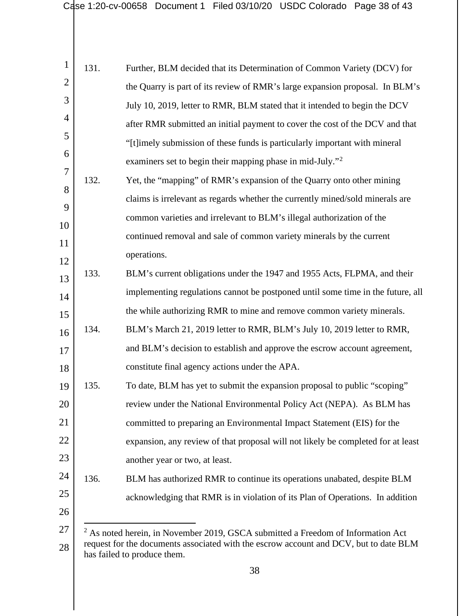<span id="page-37-0"></span>

| 1              | 131. | Further, BLM decided that its Determination of Common Variety (DCV) for                                              |
|----------------|------|----------------------------------------------------------------------------------------------------------------------|
| $\overline{2}$ |      | the Quarry is part of its review of RMR's large expansion proposal. In BLM's                                         |
| 3              |      | July 10, 2019, letter to RMR, BLM stated that it intended to begin the DCV                                           |
| 4              |      | after RMR submitted an initial payment to cover the cost of the DCV and that                                         |
| 5              |      | "[t]imely submission of these funds is particularly important with mineral                                           |
| 6              |      | examiners set to begin their mapping phase in mid-July." <sup>2</sup>                                                |
| 7              | 132. | Yet, the "mapping" of RMR's expansion of the Quarry onto other mining                                                |
| 8              |      | claims is irrelevant as regards whether the currently mined/sold minerals are                                        |
| 9              |      | common varieties and irrelevant to BLM's illegal authorization of the                                                |
| 10             |      | continued removal and sale of common variety minerals by the current                                                 |
| 11             |      | operations.                                                                                                          |
| 12             | 133. | BLM's current obligations under the 1947 and 1955 Acts, FLPMA, and their                                             |
| 13             |      | implementing regulations cannot be postponed until some time in the future, all                                      |
| 14             |      | the while authorizing RMR to mine and remove common variety minerals.                                                |
| 15             |      |                                                                                                                      |
| 16             | 134. | BLM's March 21, 2019 letter to RMR, BLM's July 10, 2019 letter to RMR,                                               |
| 17             |      | and BLM's decision to establish and approve the escrow account agreement,                                            |
| 18             |      | constitute final agency actions under the APA.                                                                       |
| 19             | 135. | To date, BLM has yet to submit the expansion proposal to public "scoping"                                            |
| 20             |      | review under the National Environmental Policy Act (NEPA). As BLM has                                                |
| 21             |      | committed to preparing an Environmental Impact Statement (EIS) for the                                               |
| 22             |      | expansion, any review of that proposal will not likely be completed for at least                                     |
| 23             |      | another year or two, at least.                                                                                       |
| 24             | 136. | BLM has authorized RMR to continue its operations unabated, despite BLM                                              |
| 25             |      | acknowledging that RMR is in violation of its Plan of Operations. In addition                                        |
| 26             |      |                                                                                                                      |
| 27             |      | $2$ As noted herein, in November 2019, GSCA submitted a Freedom of Information Act                                   |
| 28             |      | request for the documents associated with the escrow account and DCV, but to date BLM<br>has failed to produce them. |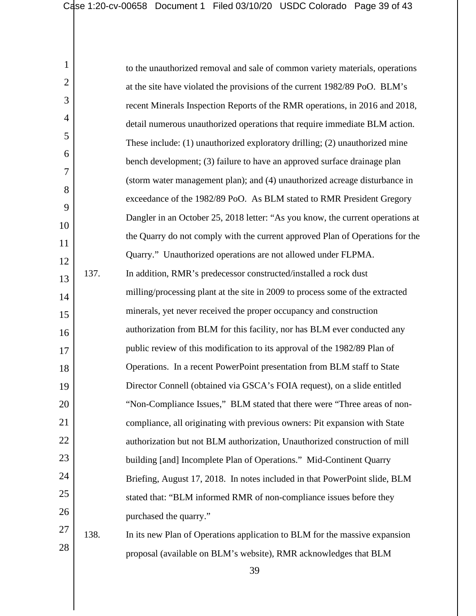| 1              |      | to the unauthorized removal and sale of common variety materials, operations   |
|----------------|------|--------------------------------------------------------------------------------|
| $\overline{2}$ |      | at the site have violated the provisions of the current 1982/89 PoO. BLM's     |
| 3              |      | recent Minerals Inspection Reports of the RMR operations, in 2016 and 2018,    |
| $\overline{4}$ |      | detail numerous unauthorized operations that require immediate BLM action.     |
| 5              |      | These include: (1) unauthorized exploratory drilling; (2) unauthorized mine    |
| 6              |      | bench development; (3) failure to have an approved surface drainage plan       |
| 7              |      | (storm water management plan); and (4) unauthorized acreage disturbance in     |
| 8              |      | exceedance of the 1982/89 PoO. As BLM stated to RMR President Gregory          |
| 9              |      | Dangler in an October 25, 2018 letter: "As you know, the current operations at |
| 10             |      | the Quarry do not comply with the current approved Plan of Operations for the  |
| 11             |      | Quarry." Unauthorized operations are not allowed under FLPMA.                  |
| 12             | 137. | In addition, RMR's predecessor constructed/installed a rock dust               |
| 13<br>14       |      | milling/processing plant at the site in 2009 to process some of the extracted  |
| 15             |      | minerals, yet never received the proper occupancy and construction             |
| 16             |      | authorization from BLM for this facility, nor has BLM ever conducted any       |
| 17             |      | public review of this modification to its approval of the 1982/89 Plan of      |
| 18             |      | Operations. In a recent PowerPoint presentation from BLM staff to State        |
| 19             |      | Director Connell (obtained via GSCA's FOIA request), on a slide entitled       |
| 20             |      | "Non-Compliance Issues," BLM stated that there were "Three areas of non-       |
| 21             |      | compliance, all originating with previous owners: Pit expansion with State     |
| 22             |      | authorization but not BLM authorization, Unauthorized construction of mill     |
| 23             |      | building [and] Incomplete Plan of Operations." Mid-Continent Quarry            |
| 24             |      | Briefing, August 17, 2018. In notes included in that PowerPoint slide, BLM     |
| 25             |      | stated that: "BLM informed RMR of non-compliance issues before they            |
| 26             |      | purchased the quarry."                                                         |
| 27             | 138. | In its new Plan of Operations application to BLM for the massive expansion     |
| 28             |      | proposal (available on BLM's website), RMR acknowledges that BLM               |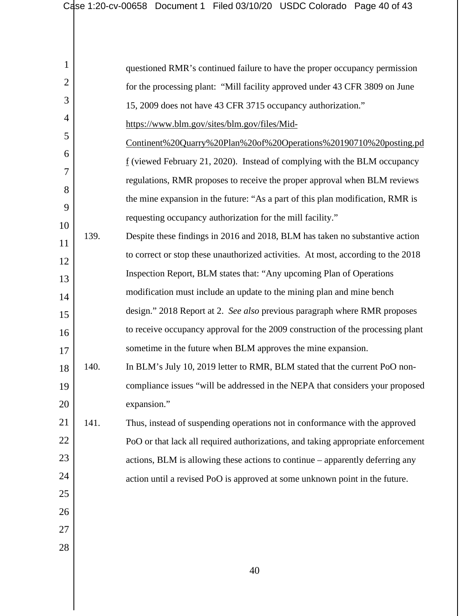| 1        |      | questioned RMR's continued failure to have the proper occupancy permission              |
|----------|------|-----------------------------------------------------------------------------------------|
| 2        |      | for the processing plant: "Mill facility approved under 43 CFR 3809 on June             |
| 3        |      | 15, 2009 does not have 43 CFR 3715 occupancy authorization."                            |
| 4        |      | https://www.blm.gov/sites/blm.gov/files/Mid-                                            |
| 5        |      | Continent%20Quarry%20Plan%20of%20Operations%20190710%20posting.pd                       |
| 6        |      | $\underline{f}$ (viewed February 21, 2020). Instead of complying with the BLM occupancy |
| 7        |      | regulations, RMR proposes to receive the proper approval when BLM reviews               |
| 8        |      | the mine expansion in the future: "As a part of this plan modification, RMR is          |
| 9        |      | requesting occupancy authorization for the mill facility."                              |
| 10<br>11 | 139. | Despite these findings in 2016 and 2018, BLM has taken no substantive action            |
| 12       |      | to correct or stop these unauthorized activities. At most, according to the 2018        |
| 13       |      | Inspection Report, BLM states that: "Any upcoming Plan of Operations"                   |
| 14       |      | modification must include an update to the mining plan and mine bench                   |
| 15       |      | design." 2018 Report at 2. See also previous paragraph where RMR proposes               |
| 16       |      | to receive occupancy approval for the 2009 construction of the processing plant         |
| 17       |      | sometime in the future when BLM approves the mine expansion.                            |
| 18       | 140. | In BLM's July 10, 2019 letter to RMR, BLM stated that the current PoO non-              |
| 19       |      | compliance issues "will be addressed in the NEPA that considers your proposed           |
| 20       |      | expansion."                                                                             |
| 21       | 141. | Thus, instead of suspending operations not in conformance with the approved             |
| 22       |      | PoO or that lack all required authorizations, and taking appropriate enforcement        |
| 23       |      | actions, BLM is allowing these actions to continue – apparently deferring any           |
| 24       |      | action until a revised PoO is approved at some unknown point in the future.             |
| 25       |      |                                                                                         |
| 26       |      |                                                                                         |
| 27       |      |                                                                                         |
| 28       |      |                                                                                         |
|          |      | 40                                                                                      |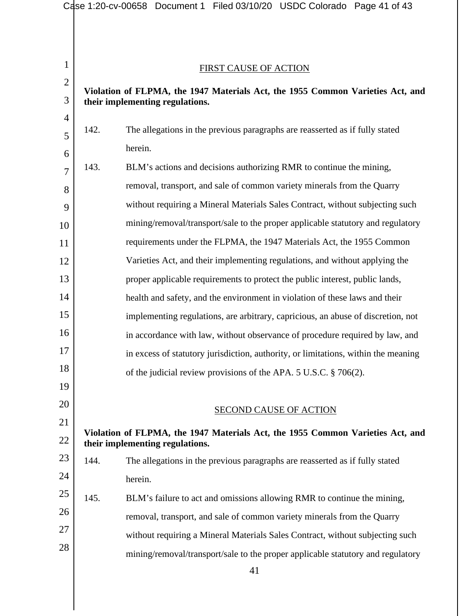|                |      | Case 1:20-cv-00658 Document 1 Filed 03/10/20 USDC Colorado Page 41 of 43           |
|----------------|------|------------------------------------------------------------------------------------|
|                |      |                                                                                    |
|                |      |                                                                                    |
| $\mathbf{1}$   |      | <b>FIRST CAUSE OF ACTION</b>                                                       |
| $\overline{2}$ |      | Violation of FLPMA, the 1947 Materials Act, the 1955 Common Varieties Act, and     |
| 3              |      | their implementing regulations.                                                    |
| 4              | 142. |                                                                                    |
| 5              |      | The allegations in the previous paragraphs are reasserted as if fully stated       |
| 6              |      | herein.                                                                            |
| $\overline{7}$ | 143. | BLM's actions and decisions authorizing RMR to continue the mining,                |
| 8              |      | removal, transport, and sale of common variety minerals from the Quarry            |
| 9              |      | without requiring a Mineral Materials Sales Contract, without subjecting such      |
| 10             |      | mining/removal/transport/sale to the proper applicable statutory and regulatory    |
| 11             |      | requirements under the FLPMA, the 1947 Materials Act, the 1955 Common              |
| 12             |      | Varieties Act, and their implementing regulations, and without applying the        |
| 13             |      | proper applicable requirements to protect the public interest, public lands,       |
| 14             |      | health and safety, and the environment in violation of these laws and their        |
| 15             |      | implementing regulations, are arbitrary, capricious, an abuse of discretion, not   |
| 16             |      | in accordance with law, without observance of procedure required by law, and       |
| 17             |      | in excess of statutory jurisdiction, authority, or limitations, within the meaning |
| 18             |      | of the judicial review provisions of the APA. 5 U.S.C. § 706(2).                   |
| 19             |      |                                                                                    |
| 20             |      | <b>SECOND CAUSE OF ACTION</b>                                                      |
| 21             |      | Violation of FLPMA, the 1947 Materials Act, the 1955 Common Varieties Act, and     |
| 22             |      | their implementing regulations.                                                    |
| 23             | 144. | The allegations in the previous paragraphs are reasserted as if fully stated       |
| 24             |      | herein.                                                                            |
| 25             | 145. | BLM's failure to act and omissions allowing RMR to continue the mining,            |
| 26             |      | removal, transport, and sale of common variety minerals from the Quarry            |
| 27             |      | without requiring a Mineral Materials Sales Contract, without subjecting such      |
| 28             |      | mining/removal/transport/sale to the proper applicable statutory and regulatory    |
|                |      | 41                                                                                 |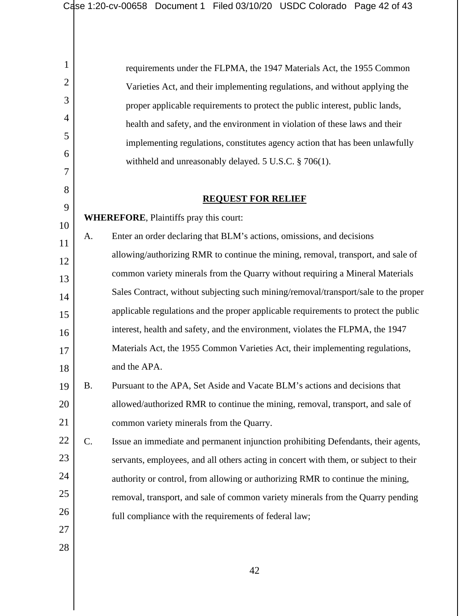| 1              |                 | requirements under the FLPMA, the 1947 Materials Act, the 1955 Common                |
|----------------|-----------------|--------------------------------------------------------------------------------------|
| $\overline{2}$ |                 | Varieties Act, and their implementing regulations, and without applying the          |
| 3              |                 | proper applicable requirements to protect the public interest, public lands,         |
| 4              |                 | health and safety, and the environment in violation of these laws and their          |
| 5              |                 | implementing regulations, constitutes agency action that has been unlawfully         |
| 6              |                 | withheld and unreasonably delayed. 5 U.S.C. § 706(1).                                |
| 7              |                 |                                                                                      |
| 8              |                 | <b>REQUEST FOR RELIEF</b>                                                            |
| 9              |                 | <b>WHEREFORE, Plaintiffs pray this court:</b>                                        |
| 10             | A.              | Enter an order declaring that BLM's actions, omissions, and decisions                |
| 11             |                 | allowing/authorizing RMR to continue the mining, removal, transport, and sale of     |
| 12             |                 | common variety minerals from the Quarry without requiring a Mineral Materials        |
| 13<br>14       |                 | Sales Contract, without subjecting such mining/removal/transport/sale to the proper  |
| 15             |                 | applicable regulations and the proper applicable requirements to protect the public  |
| 16             |                 | interest, health and safety, and the environment, violates the FLPMA, the 1947       |
| 17             |                 | Materials Act, the 1955 Common Varieties Act, their implementing regulations,        |
| 18             |                 | and the APA.                                                                         |
| 19             | <b>B.</b>       | Pursuant to the APA, Set Aside and Vacate BLM's actions and decisions that           |
| 20             |                 | allowed/authorized RMR to continue the mining, removal, transport, and sale of       |
| 21             |                 | common variety minerals from the Quarry.                                             |
| 22             | $\mathcal{C}$ . | Issue an immediate and permanent injunction prohibiting Defendants, their agents,    |
| 23             |                 | servants, employees, and all others acting in concert with them, or subject to their |
| 24             |                 | authority or control, from allowing or authorizing RMR to continue the mining,       |
| 25             |                 | removal, transport, and sale of common variety minerals from the Quarry pending      |
| 26             |                 |                                                                                      |
| 27             |                 | full compliance with the requirements of federal law;                                |
| $28\,$         |                 |                                                                                      |
|                |                 |                                                                                      |